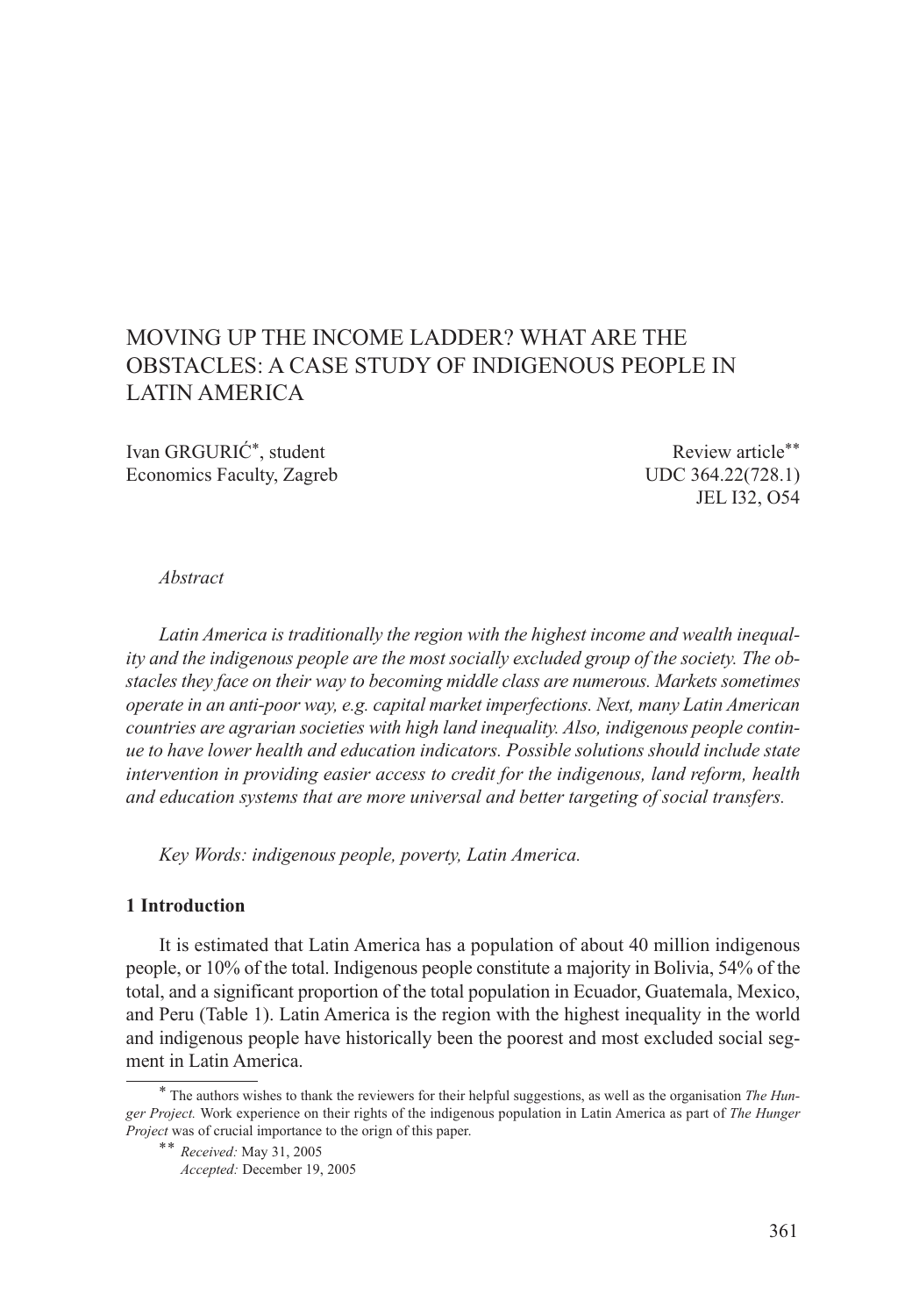# MOVING UP THE INCOME LADDER? WHAT ARE THE OBSTACLES: A CASE STUDY OF INDIGENOUS PEOPLE IN LATIN AMERICA

Ivan GRGURIĆ\*, student Review article\*\* Economics Faculty, Zagreb UDC 364.22(728.1)

JEL I32, O54

#### *Abstract*

*Latin America is traditionally the region with the highest income and wealth inequality and the indigenous people are the most socially excluded group of the society. The obstacles they face on their way to becoming middle class are numerous. Markets sometimes operate in an anti-poor way, e.g. capital market imperfections. Next, many Latin American countries are agrarian societies with high land inequality. Also, indigenous people continue to have lower health and education indicators. Possible solutions should include state intervention in providing easier access to credit for the indigenous, land reform, health and education systems that are more universal and better targeting of social transfers.*

*Key Words: indigenous people, poverty, Latin America.*

## **1 Introduction**

It is estimated that Latin America has a population of about 40 million indigenous people, or 10% of the total. Indigenous people constitute a majority in Bolivia, 54% of the total, and a significant proportion of the total population in Ecuador, Guatemala, Mexico, and Peru (Table 1). Latin America is the region with the highest inequality in the world and indigenous people have historically been the poorest and most excluded social segment in Latin America.

<sup>\*</sup> The authors wishes to thank the reviewers for their helpful suggestions, as well as the organisation *The Hunger Project.* Work experience on their rights of the indigenous population in Latin America as part of *The Hunger Project* was of crucial importance to the orign of this paper.

<sup>\*\*</sup> *Received:* May 31, 2005

*Accepted:* December 19, 2005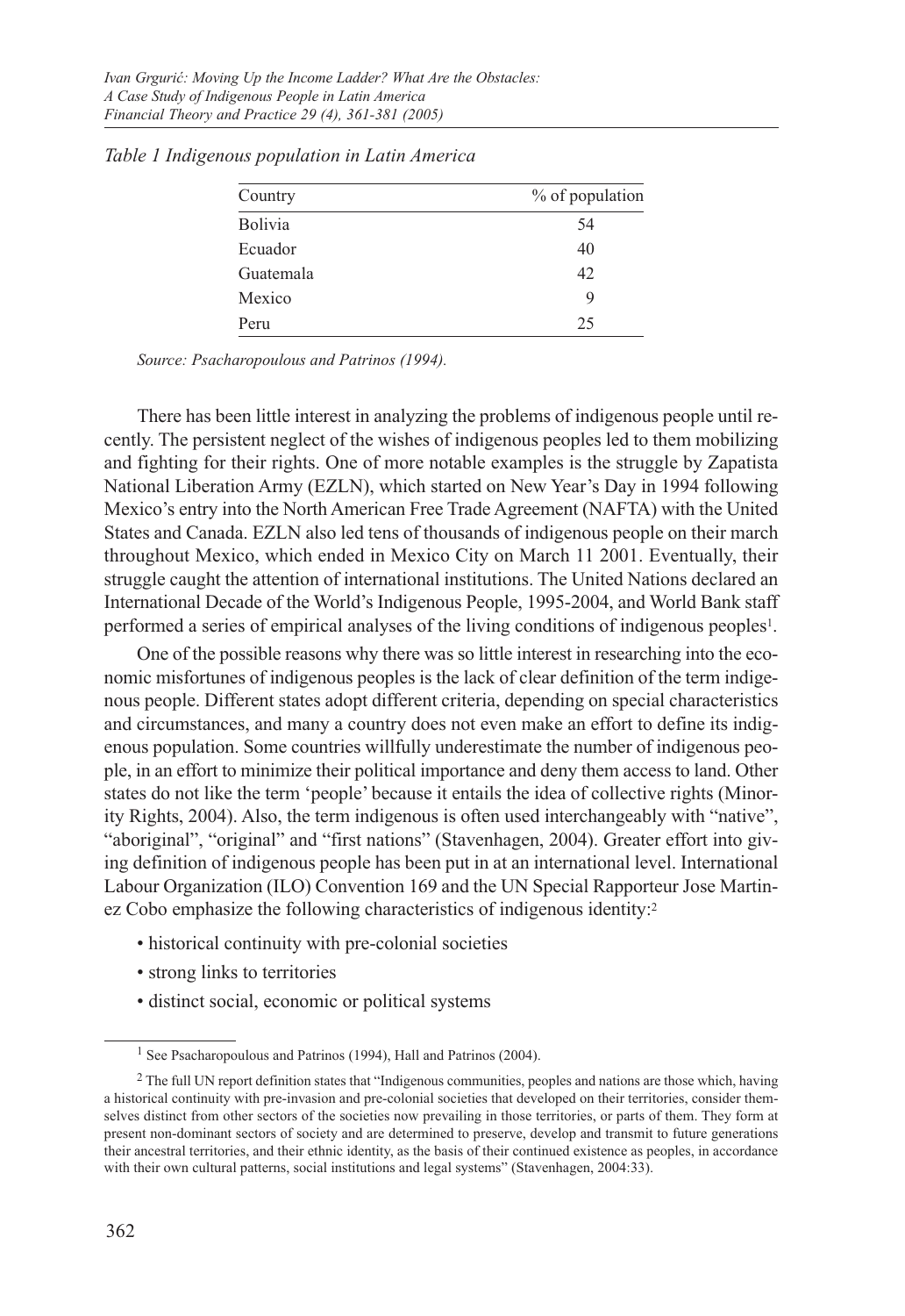| Country        | % of population |
|----------------|-----------------|
| <b>Bolivia</b> | 54              |
| Ecuador        | 40              |
| Guatemala      | 42              |
| Mexico         | 9               |
| Peru           | 25              |

*Table 1 Indigenous population in Latin America*

*Source: Psacharopoulous and Patrinos (1994).*

There has been little interest in analyzing the problems of indigenous people until recently. The persistent neglect of the wishes of indigenous peoples led to them mobilizing and fighting for their rights. One of more notable examples is the struggle by Zapatista National Liberation Army (EZLN), which started on New Year's Day in 1994 following Mexico's entry into the North American Free Trade Agreement (NAFTA) with the United States and Canada. EZLN also led tens of thousands of indigenous people on their march throughout Mexico, which ended in Mexico City on March 11 2001. Eventually, their struggle caught the attention of international institutions. The United Nations declared an International Decade of the World's Indigenous People, 1995-2004, and World Bank staff performed a series of empirical analyses of the living conditions of indigenous peoples1.

One of the possible reasons why there was so little interest in researching into the economic misfortunes of indigenous peoples is the lack of clear definition of the term indigenous people. Different states adopt different criteria, depending on special characteristics and circumstances, and many a country does not even make an effort to define its indigenous population. Some countries willfully underestimate the number of indigenous people, in an effort to minimize their political importance and deny them access to land. Other states do not like the term 'people' because it entails the idea of collective rights (Minority Rights, 2004). Also, the term indigenous is often used interchangeably with "native", "aboriginal", "original" and "first nations" (Stavenhagen, 2004). Greater effort into giving definition of indigenous people has been put in at an international level. International Labour Organization (ILO) Convention 169 and the UN Special Rapporteur Jose Martinez Cobo emphasize the following characteristics of indigenous identity:<sup>2</sup>

- historical continuity with pre-colonial societies
- strong links to territories
- distinct social, economic or political systems

<sup>&</sup>lt;sup>1</sup> See Psacharopoulous and Patrinos (1994), Hall and Patrinos (2004).

<sup>&</sup>lt;sup>2</sup> The full UN report definition states that "Indigenous communities, peoples and nations are those which, having a historical continuity with pre-invasion and pre-colonial societies that developed on their territories, consider themselves distinct from other sectors of the societies now prevailing in those territories, or parts of them. They form at present non-dominant sectors of society and are determined to preserve, develop and transmit to future generations their ancestral territories, and their ethnic identity, as the basis of their continued existence as peoples, in accordance with their own cultural patterns, social institutions and legal systems" (Stavenhagen, 2004:33).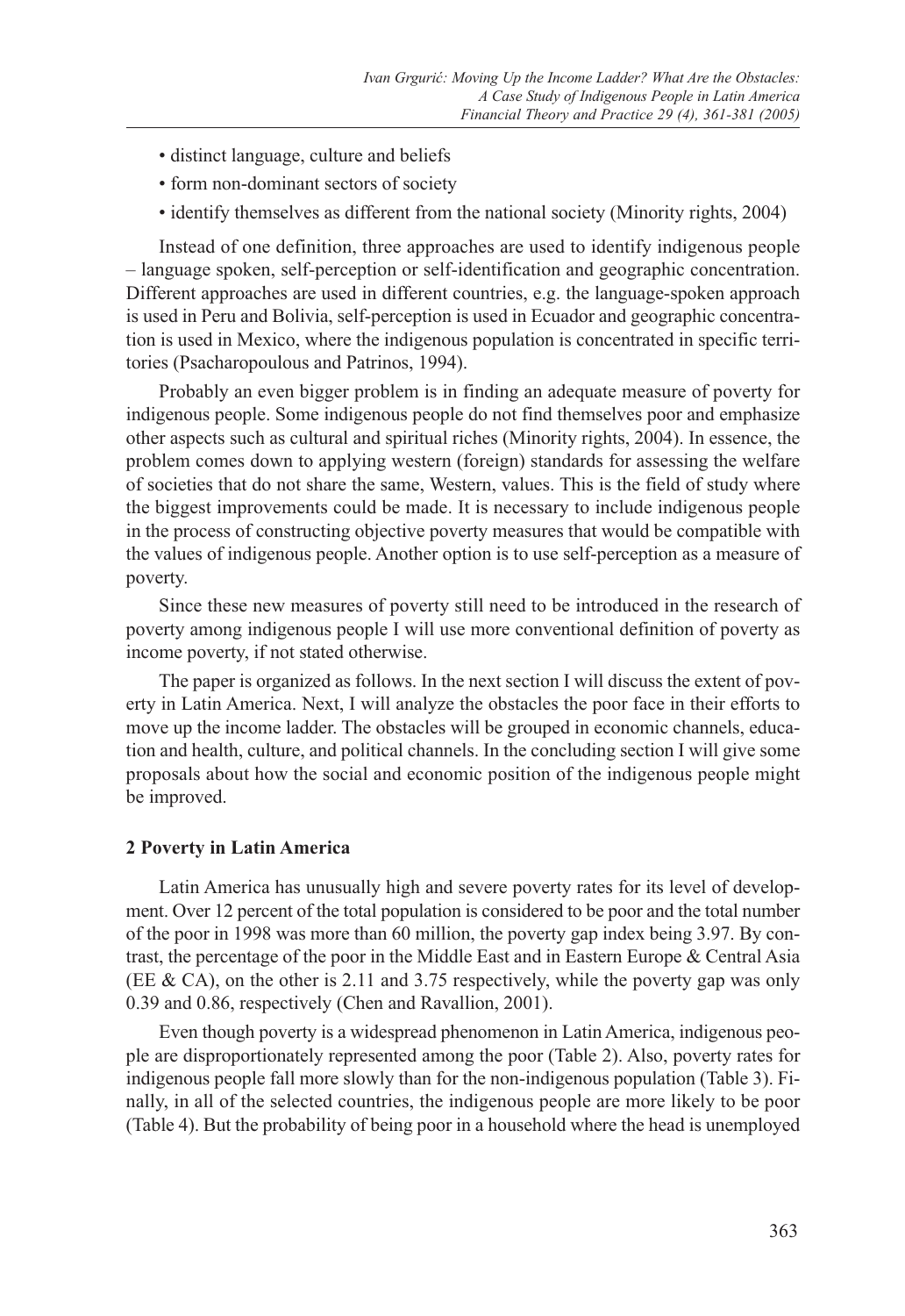- distinct language, culture and beliefs
- form non-dominant sectors of society
- identify themselves as different from the national society (Minority rights, 2004)

Instead of one definition, three approaches are used to identify indigenous people – language spoken, self-perception or self-identification and geographic concentration. Different approaches are used in different countries, e.g. the language-spoken approach is used in Peru and Bolivia, self-perception is used in Ecuador and geographic concentration is used in Mexico, where the indigenous population is concentrated in specific territories (Psacharopoulous and Patrinos, 1994).

Probably an even bigger problem is in finding an adequate measure of poverty for indigenous people. Some indigenous people do not find themselves poor and emphasize other aspects such as cultural and spiritual riches (Minority rights, 2004). In essence, the problem comes down to applying western (foreign) standards for assessing the welfare of societies that do not share the same, Western, values. This is the field of study where the biggest improvements could be made. It is necessary to include indigenous people in the process of constructing objective poverty measures that would be compatible with the values of indigenous people. Another option is to use self-perception as a measure of poverty.

Since these new measures of poverty still need to be introduced in the research of poverty among indigenous people I will use more conventional definition of poverty as income poverty, if not stated otherwise.

The paper is organized as follows. In the next section I will discuss the extent of poverty in Latin America. Next, I will analyze the obstacles the poor face in their efforts to move up the income ladder. The obstacles will be grouped in economic channels, education and health, culture, and political channels. In the concluding section I will give some proposals about how the social and economic position of the indigenous people might be improved.

#### **2 Poverty in Latin America**

Latin America has unusually high and severe poverty rates for its level of development. Over 12 percent of the total population is considered to be poor and the total number of the poor in 1998 was more than 60 million, the poverty gap index being 3.97. By contrast, the percentage of the poor in the Middle East and in Eastern Europe & Central Asia (EE & CA), on the other is 2.11 and 3.75 respectively, while the poverty gap was only 0.39 and 0.86, respectively (Chen and Ravallion, 2001).

Even though poverty is a widespread phenomenon in Latin America, indigenous people are disproportionately represented among the poor (Table 2). Also, poverty rates for indigenous people fall more slowly than for the non-indigenous population (Table 3). Finally, in all of the selected countries, the indigenous people are more likely to be poor (Table 4). But the probability of being poor in a household where the head is unemployed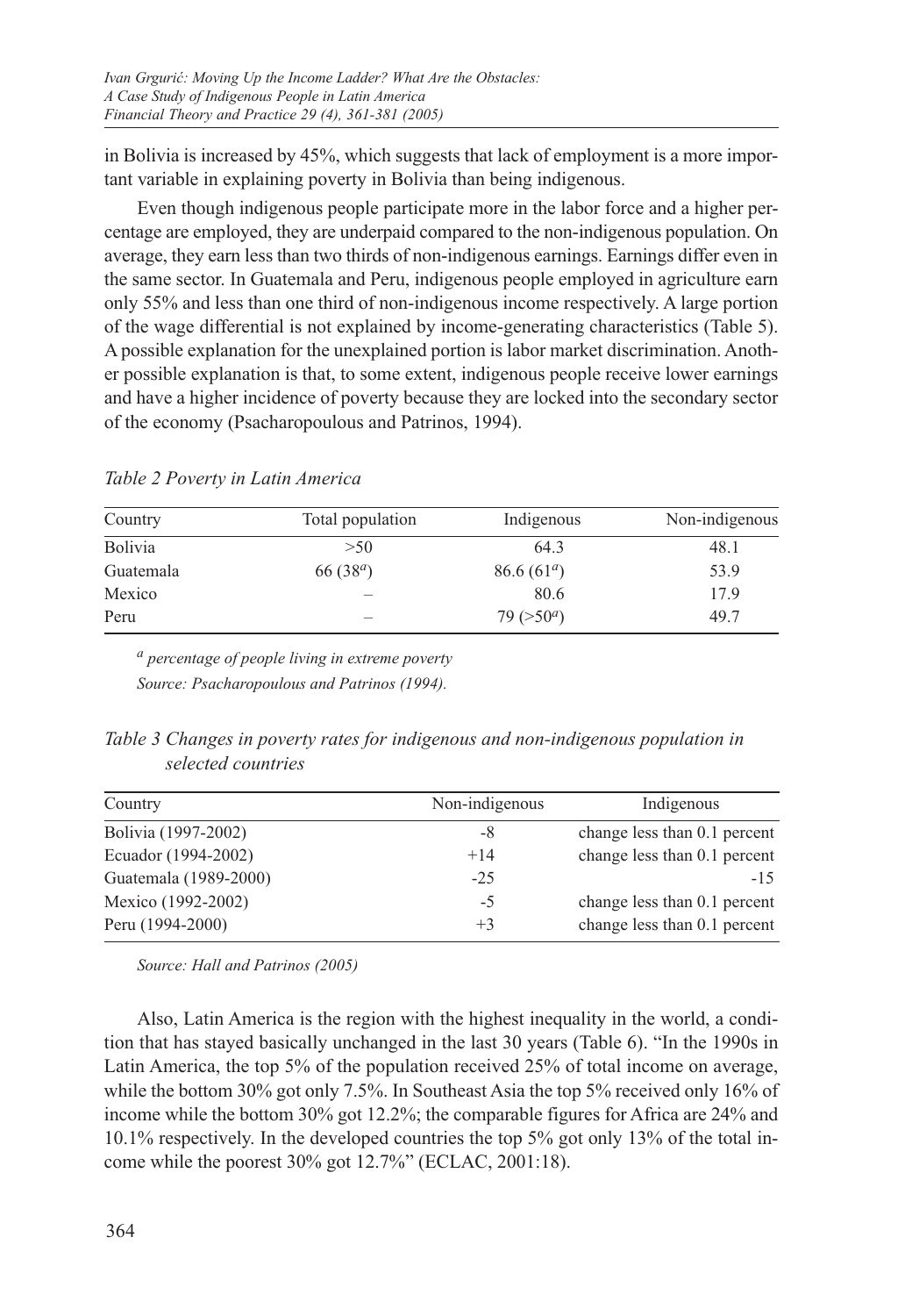in Bolivia is increased by 45%, which suggests that lack of employment is a more important variable in explaining poverty in Bolivia than being indigenous.

Even though indigenous people participate more in the labor force and a higher percentage are employed, they are underpaid compared to the non-indigenous population. On average, they earn less than two thirds of non-indigenous earnings. Earnings differ even in the same sector. In Guatemala and Peru, indigenous people employed in agriculture earn only 55% and less than one third of non-indigenous income respectively. A large portion of the wage differential is not explained by income-generating characteristics (Table 5). A possible explanation for the unexplained portion is labor market discrimination. Another possible explanation is that, to some extent, indigenous people receive lower earnings and have a higher incidence of poverty because they are locked into the secondary sector of the economy (Psacharopoulous and Patrinos, 1994).

| Country        | Total population | Indigenous    | Non-indigenous |
|----------------|------------------|---------------|----------------|
| <b>Bolivia</b> | >50              | 64.3          | 48.1           |
| Guatemala      | 66 $(38^a)$      | 86.6 $(61^a)$ | 53.9           |
| Mexico         |                  | 80.6          | 17.9           |
| Peru           |                  | 79 $(>50^a)$  | 49.7           |

*Table 2 Poverty in Latin America*

*a percentage of people living in extreme poverty Source: Psacharopoulous and Patrinos (1994).*

| Table 3 Changes in poverty rates for indigenous and non-indigenous population in |  |  |  |
|----------------------------------------------------------------------------------|--|--|--|
| selected countries                                                               |  |  |  |

| Country               | Non-indigenous | Indigenous                   |
|-----------------------|----------------|------------------------------|
| Bolivia (1997-2002)   | -8             | change less than 0.1 percent |
| Ecuador (1994-2002)   | $+14$          | change less than 0.1 percent |
| Guatemala (1989-2000) | $-25$          | $-15$                        |
| Mexico (1992-2002)    | -5             | change less than 0.1 percent |
| Peru (1994-2000)      | $+3$           | change less than 0.1 percent |

*Source: Hall and Patrinos (2005)*

Also, Latin America is the region with the highest inequality in the world, a condition that has stayed basically unchanged in the last 30 years (Table 6). "In the 1990s in Latin America, the top 5% of the population received 25% of total income on average, while the bottom 30% got only 7.5%. In Southeast Asia the top 5% received only 16% of income while the bottom 30% got 12.2%; the comparable figures for Africa are 24% and 10.1% respectively. In the developed countries the top 5% got only 13% of the total income while the poorest 30% got 12.7%" (ECLAC, 2001:18).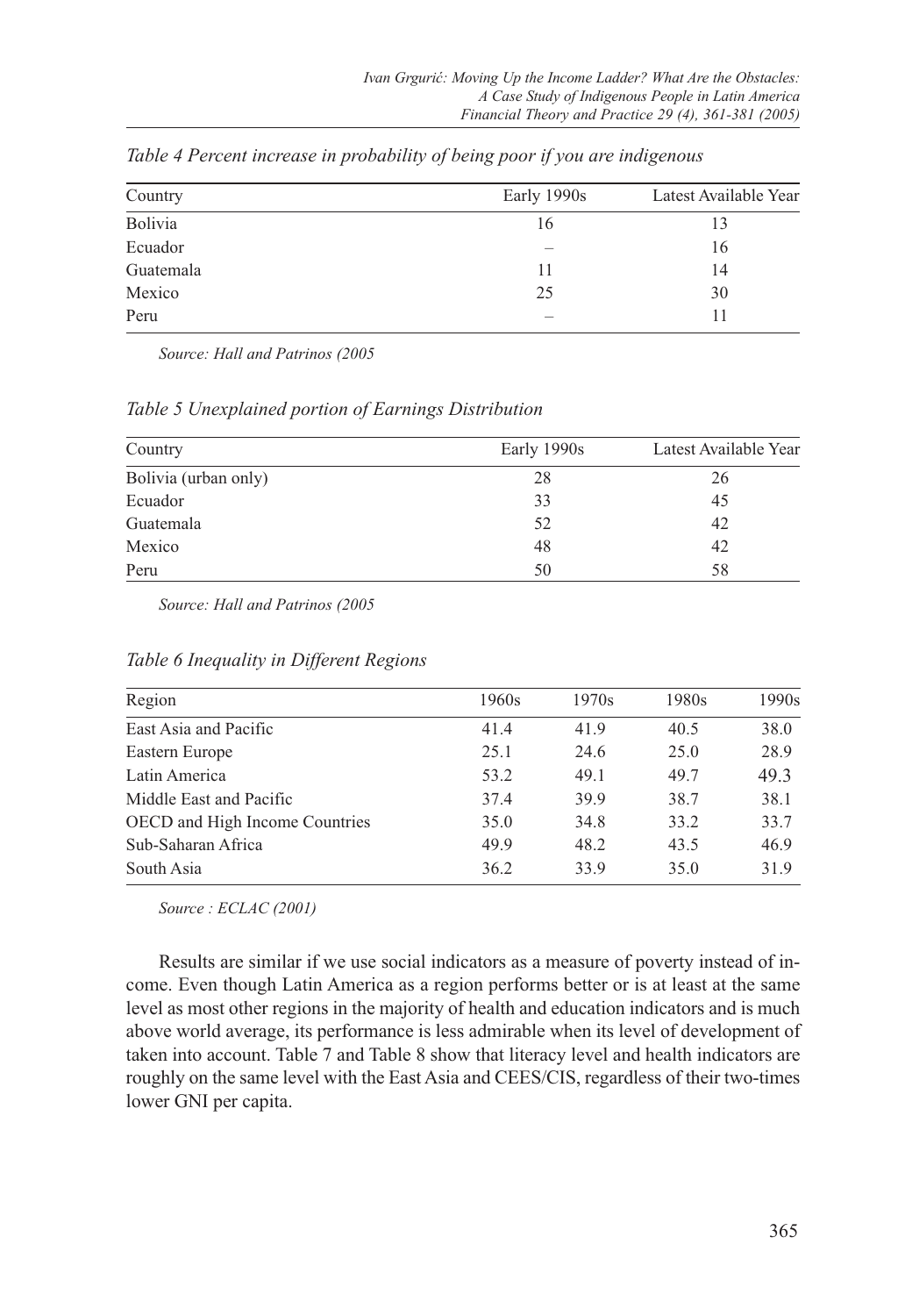| Country   | Early 1990s | Latest Available Year |
|-----------|-------------|-----------------------|
| Bolivia   | 16          | 13                    |
| Ecuador   |             | 16                    |
| Guatemala | 11          | 14                    |
| Mexico    | 25          | 30                    |
| Peru      |             |                       |

*Table 4 Percent increase in probability of being poor if you are indigenous*

*Source: Hall and Patrinos (2005*

*Table 5 Unexplained portion of Earnings Distribution*

| Country              | Early 1990s | Latest Available Year |
|----------------------|-------------|-----------------------|
| Bolivia (urban only) | 28          | 26                    |
| Ecuador              | 33          | 45                    |
| Guatemala            | 52          | 42                    |
| Mexico               | 48          | 42                    |
| Peru                 | 50          | 58                    |

*Source: Hall and Patrinos (2005*

| Region                                | 1960s | 1970s | 1980s | 1990s |
|---------------------------------------|-------|-------|-------|-------|
| East Asia and Pacific                 | 41.4  | 41.9  | 40.5  | 38.0  |
| Eastern Europe                        | 25.1  | 24.6  | 25.0  | 28.9  |
| Latin America                         | 53.2  | 49.1  | 49.7  | 49.3  |
| Middle East and Pacific               | 37.4  | 39.9  | 38.7  | 38.1  |
| <b>OECD</b> and High Income Countries | 35.0  | 34.8  | 33.2  | 33.7  |
| Sub-Saharan Africa                    | 49.9  | 48.2  | 43.5  | 46.9  |
| South Asia                            | 36.2  | 33.9  | 35.0  | 31.9  |
|                                       |       |       |       |       |

*Table 6 Inequality in Different Regions*

*Source : ECLAC (2001)* 

Results are similar if we use social indicators as a measure of poverty instead of income. Even though Latin America as a region performs better or is at least at the same level as most other regions in the majority of health and education indicators and is much above world average, its performance is less admirable when its level of development of taken into account. Table 7 and Table 8 show that literacy level and health indicators are roughly on the same level with the East Asia and CEES/CIS, regardless of their two-times lower GNI per capita.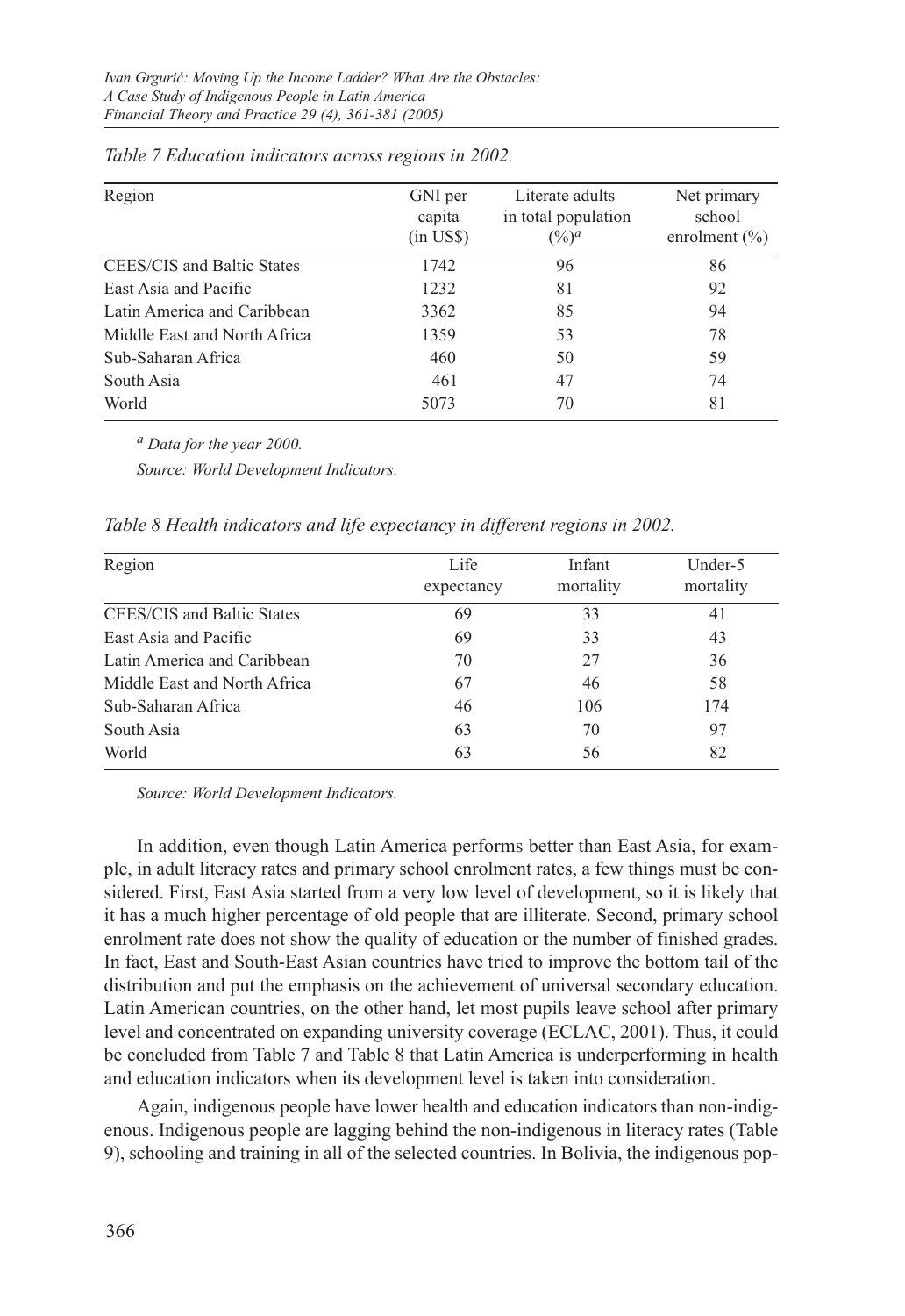| Region                       | GNI per<br>capita<br>$(in \text{ US}\$)$ | Literate adults<br>in total population<br>$(\%)^a$ | Net primary<br>school<br>enrolment $(\% )$ |
|------------------------------|------------------------------------------|----------------------------------------------------|--------------------------------------------|
| CEES/CIS and Baltic States   | 1742                                     | 96                                                 | 86                                         |
| East Asia and Pacific        | 1232                                     | 81                                                 | 92                                         |
| Latin America and Caribbean  | 3362                                     | 85                                                 | 94                                         |
| Middle East and North Africa | 1359                                     | 53                                                 | 78                                         |
| Sub-Saharan Africa           | 460                                      | 50                                                 | 59                                         |
| South Asia                   | 461                                      | 47                                                 | 74                                         |
| World                        | 5073                                     | 70                                                 | 81                                         |

| Table 7 Education indicators across regions in 2002. |  |  |  |  |  |
|------------------------------------------------------|--|--|--|--|--|
|------------------------------------------------------|--|--|--|--|--|

*a Data for the year 2000.* 

*Source: World Development Indicators.*

*Table 8 Health indicators and life expectancy in different regions in 2002.*

| Region                       | Life<br>expectancy | Infant<br>mortality | Under-5<br>mortality |
|------------------------------|--------------------|---------------------|----------------------|
| CEES/CIS and Baltic States   | 69                 | 33                  | 41                   |
| East Asia and Pacific        | 69                 | 33                  | 43                   |
| Latin America and Caribbean  | 70                 | 27                  | 36                   |
| Middle East and North Africa | 67                 | 46                  | 58                   |
| Sub-Saharan Africa           | 46                 | 106                 | 174                  |
| South Asia                   | 63                 | 70                  | 97                   |
| World                        | 63                 | 56                  | 82                   |

*Source: World Development Indicators.*

In addition, even though Latin America performs better than East Asia, for example, in adult literacy rates and primary school enrolment rates, a few things must be considered. First, East Asia started from a very low level of development, so it is likely that it has a much higher percentage of old people that are illiterate. Second, primary school enrolment rate does not show the quality of education or the number of finished grades. In fact, East and South-East Asian countries have tried to improve the bottom tail of the distribution and put the emphasis on the achievement of universal secondary education. Latin American countries, on the other hand, let most pupils leave school after primary level and concentrated on expanding university coverage (ECLAC, 2001). Thus, it could be concluded from Table 7 and Table 8 that Latin America is underperforming in health and education indicators when its development level is taken into consideration.

Again, indigenous people have lower health and education indicators than non-indigenous. Indigenous people are lagging behind the non-indigenous in literacy rates (Table 9), schooling and training in all of the selected countries. In Bolivia, the indigenous pop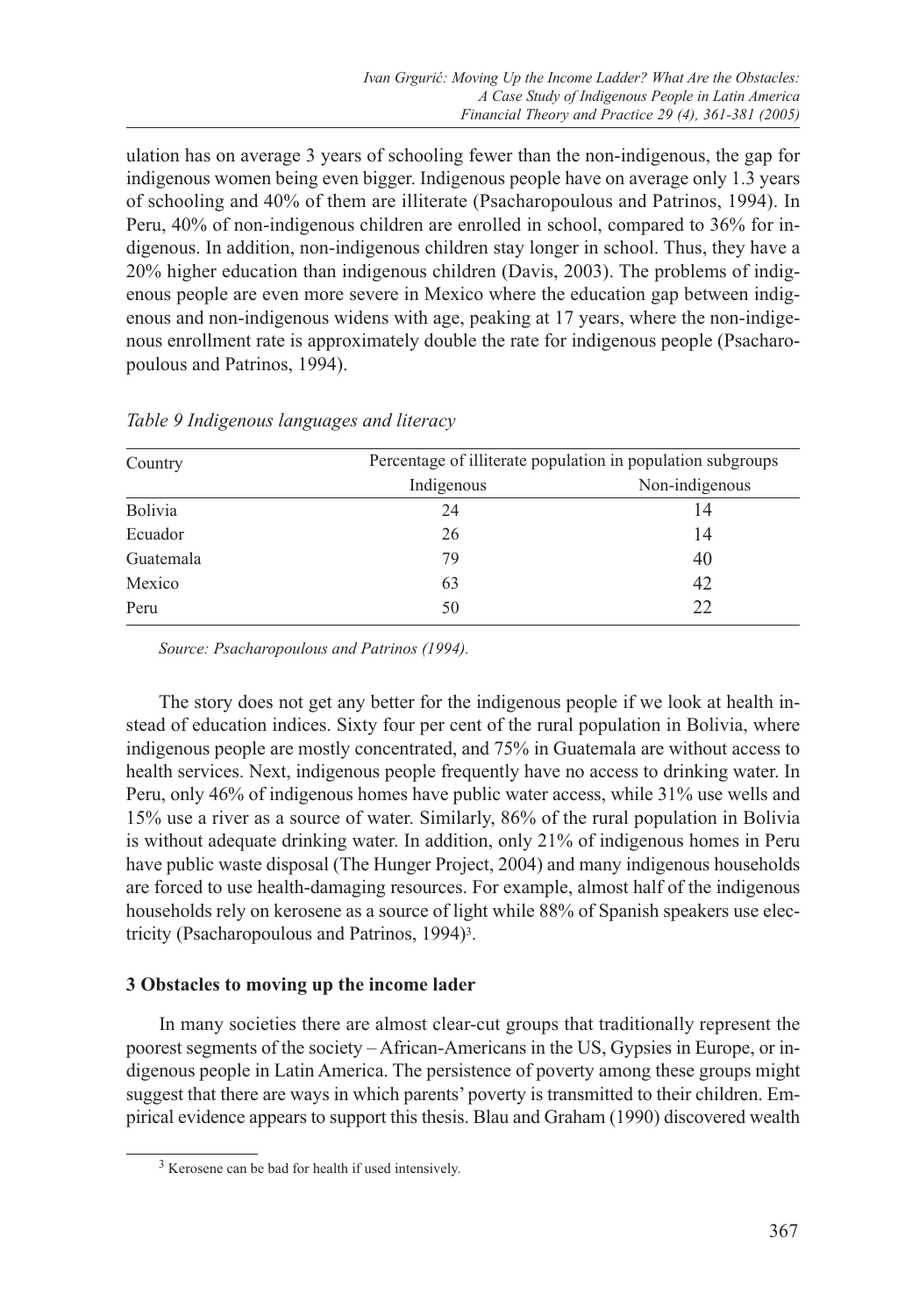ulation has on average 3 years of schooling fewer than the non-indigenous, the gap for indigenous women being even bigger. Indigenous people have on average only 1.3 years of schooling and 40% of them are illiterate (Psacharopoulous and Patrinos, 1994). In Peru, 40% of non-indigenous children are enrolled in school, compared to 36% for indigenous. In addition, non-indigenous children stay longer in school. Thus, they have a 20% higher education than indigenous children (Davis, 2003). The problems of indigenous people are even more severe in Mexico where the education gap between indigenous and non-indigenous widens with age, peaking at 17 years, where the non-indigenous enrollment rate is approximately double the rate for indigenous people (Psacharopoulous and Patrinos, 1994).

| Country   |            | Percentage of illiterate population in population subgroups |
|-----------|------------|-------------------------------------------------------------|
|           | Indigenous | Non-indigenous                                              |
| Bolivia   | 24         | 14                                                          |
| Ecuador   | 26         | 14                                                          |
| Guatemala | 79         | 40                                                          |
| Mexico    | 63         | 42                                                          |
| Peru      | 50         | 22                                                          |

*Table 9 Indigenous languages and literacy*

*Source: Psacharopoulous and Patrinos (1994).*

The story does not get any better for the indigenous people if we look at health instead of education indices. Sixty four per cent of the rural population in Bolivia, where indigenous people are mostly concentrated, and 75% in Guatemala are without access to health services. Next, indigenous people frequently have no access to drinking water. In Peru, only 46% of indigenous homes have public water access, while 31% use wells and 15% use a river as a source of water. Similarly, 86% of the rural population in Bolivia is without adequate drinking water. In addition, only 21% of indigenous homes in Peru have public waste disposal (The Hunger Project, 2004) and many indigenous households are forced to use health-damaging resources. For example, almost half of the indigenous households rely on kerosene as a source of light while 88% of Spanish speakers use electricity (Psacharopoulous and Patrinos, 1994)3.

## **3 Obstacles to moving up the income lader**

In many societies there are almost clear-cut groups that traditionally represent the poorest segments of the society – African-Americans in the US, Gypsies in Europe, or indigenous people in Latin America. The persistence of poverty among these groups might suggest that there are ways in which parents' poverty is transmitted to their children. Empirical evidence appears to support this thesis. Blau and Graham (1990) discovered wealth

<sup>3</sup> Kerosene can be bad for health if used intensively.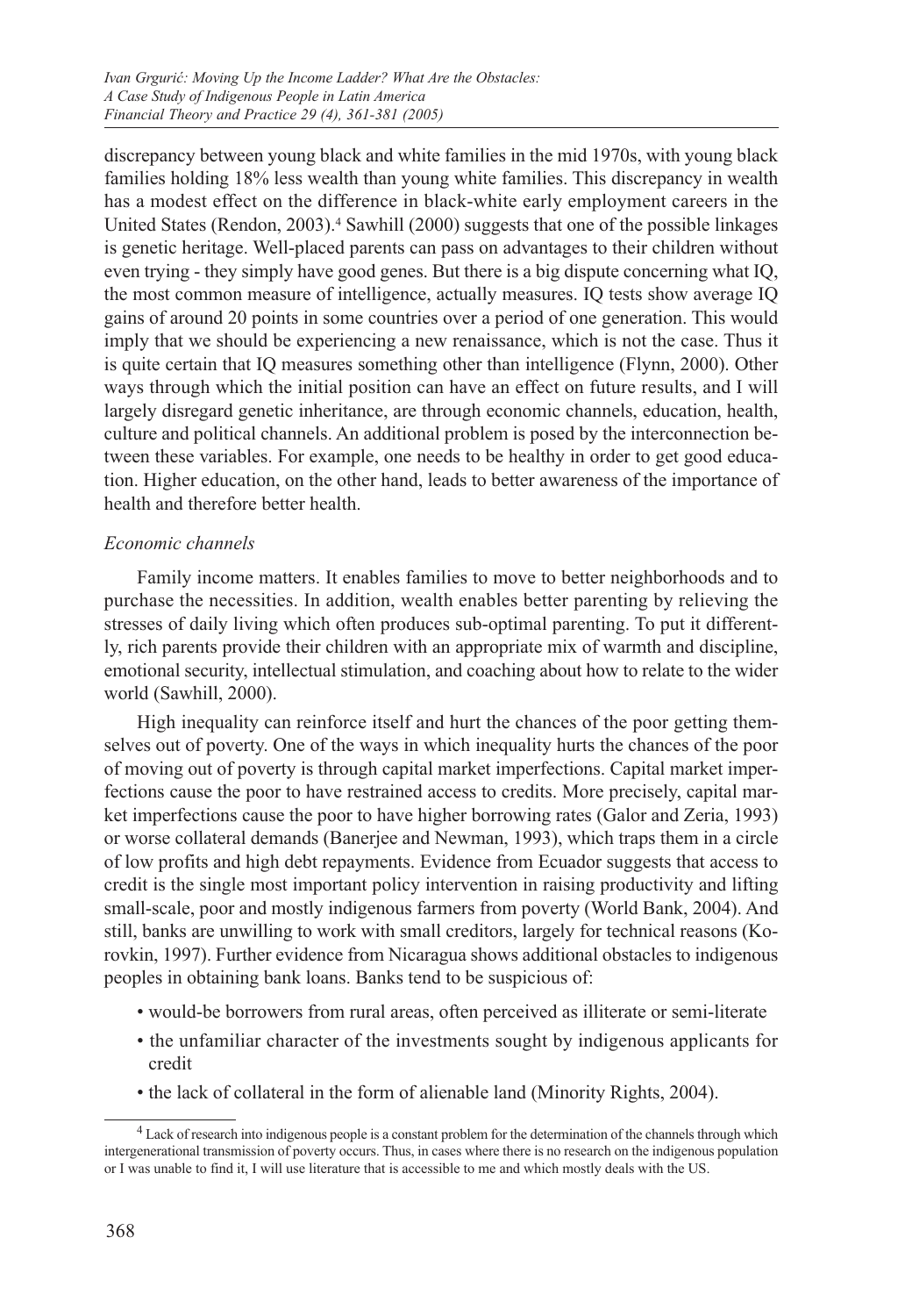discrepancy between young black and white families in the mid 1970s, with young black families holding 18% less wealth than young white families. This discrepancy in wealth has a modest effect on the difference in black-white early employment careers in the United States (Rendon, 2003).4 Sawhill (2000) suggests that one of the possible linkages is genetic heritage. Well-placed parents can pass on advantages to their children without even trying - they simply have good genes. But there is a big dispute concerning what IQ, the most common measure of intelligence, actually measures. IQ tests show average IQ gains of around 20 points in some countries over a period of one generation. This would imply that we should be experiencing a new renaissance, which is not the case. Thus it is quite certain that IQ measures something other than intelligence (Flynn, 2000). Other ways through which the initial position can have an effect on future results, and I will largely disregard genetic inheritance, are through economic channels, education, health, culture and political channels. An additional problem is posed by the interconnection between these variables. For example, one needs to be healthy in order to get good education. Higher education, on the other hand, leads to better awareness of the importance of health and therefore better health.

### *Economic channels*

Family income matters. It enables families to move to better neighborhoods and to purchase the necessities. In addition, wealth enables better parenting by relieving the stresses of daily living which often produces sub-optimal parenting. To put it differently, rich parents provide their children with an appropriate mix of warmth and discipline, emotional security, intellectual stimulation, and coaching about how to relate to the wider world (Sawhill, 2000).

High inequality can reinforce itself and hurt the chances of the poor getting themselves out of poverty. One of the ways in which inequality hurts the chances of the poor of moving out of poverty is through capital market imperfections. Capital market imperfections cause the poor to have restrained access to credits. More precisely, capital market imperfections cause the poor to have higher borrowing rates (Galor and Zeria, 1993) or worse collateral demands (Banerjee and Newman, 1993), which traps them in a circle of low profits and high debt repayments. Evidence from Ecuador suggests that access to credit is the single most important policy intervention in raising productivity and lifting small-scale, poor and mostly indigenous farmers from poverty (World Bank, 2004). And still, banks are unwilling to work with small creditors, largely for technical reasons (Korovkin, 1997). Further evidence from Nicaragua shows additional obstacles to indigenous peoples in obtaining bank loans. Banks tend to be suspicious of:

- would-be borrowers from rural areas, often perceived as illiterate or semi-literate
- the unfamiliar character of the investments sought by indigenous applicants for credit
- the lack of collateral in the form of alienable land (Minority Rights, 2004).

<sup>4</sup> Lack of research into indigenous people is a constant problem for the determination of the channels through which intergenerational transmission of poverty occurs. Thus, in cases where there is no research on the indigenous population or I was unable to find it, I will use literature that is accessible to me and which mostly deals with the US.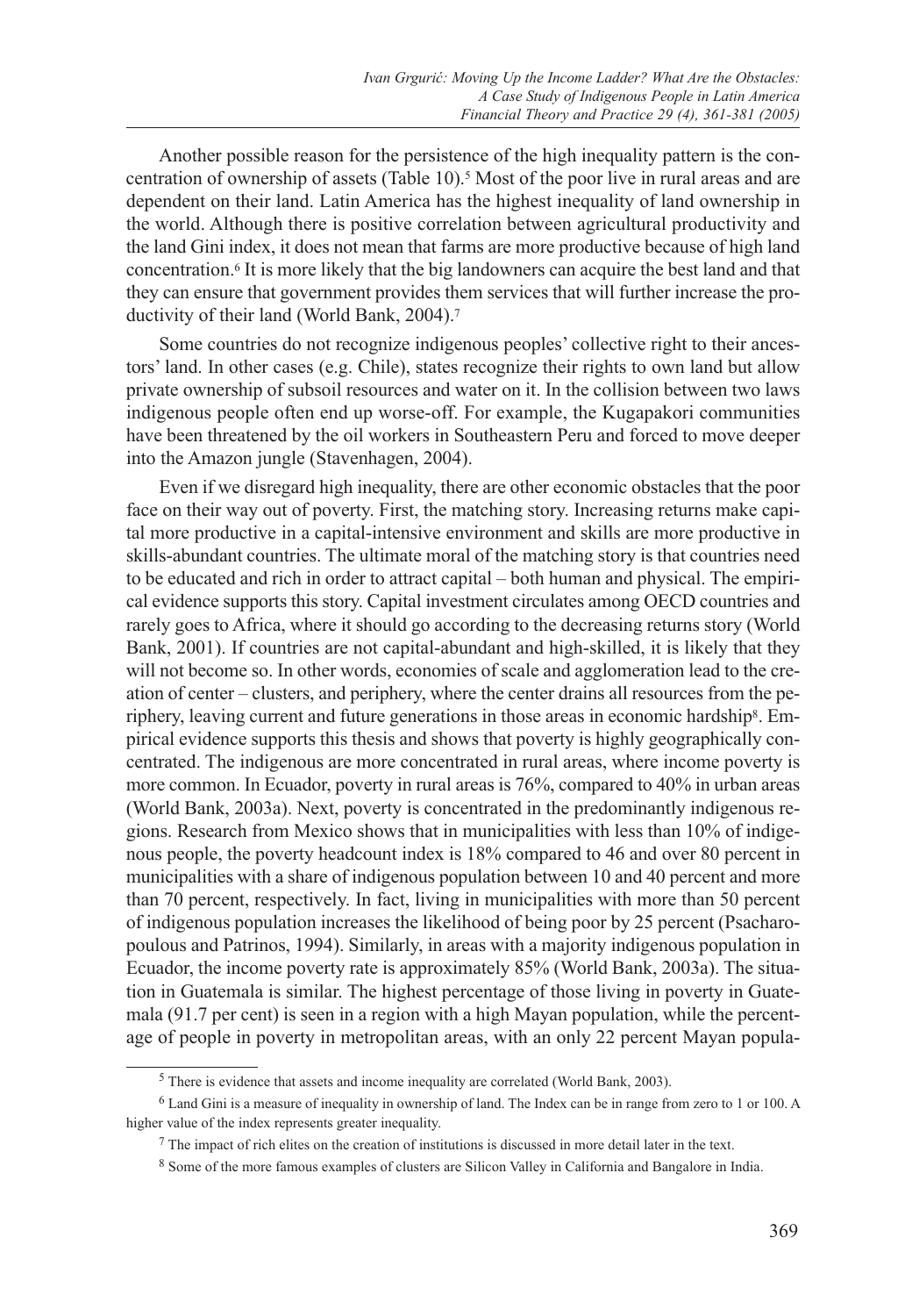Another possible reason for the persistence of the high inequality pattern is the concentration of ownership of assets (Table 10).5 Most of the poor live in rural areas and are dependent on their land. Latin America has the highest inequality of land ownership in the world. Although there is positive correlation between agricultural productivity and the land Gini index, it does not mean that farms are more productive because of high land concentration.6 It is more likely that the big landowners can acquire the best land and that they can ensure that government provides them services that will further increase the productivity of their land (World Bank, 2004).7

Some countries do not recognize indigenous peoples' collective right to their ancestors' land. In other cases (e.g. Chile), states recognize their rights to own land but allow private ownership of subsoil resources and water on it. In the collision between two laws indigenous people often end up worse-off. For example, the Kugapakori communities have been threatened by the oil workers in Southeastern Peru and forced to move deeper into the Amazon jungle (Stavenhagen, 2004).

Even if we disregard high inequality, there are other economic obstacles that the poor face on their way out of poverty. First, the matching story. Increasing returns make capital more productive in a capital-intensive environment and skills are more productive in skills-abundant countries. The ultimate moral of the matching story is that countries need to be educated and rich in order to attract capital – both human and physical. The empirical evidence supports this story. Capital investment circulates among OECD countries and rarely goes to Africa, where it should go according to the decreasing returns story (World Bank, 2001). If countries are not capital-abundant and high-skilled, it is likely that they will not become so. In other words, economies of scale and agglomeration lead to the creation of center – clusters, and periphery, where the center drains all resources from the periphery, leaving current and future generations in those areas in economic hardship8. Empirical evidence supports this thesis and shows that poverty is highly geographically concentrated. The indigenous are more concentrated in rural areas, where income poverty is more common. In Ecuador, poverty in rural areas is 76%, compared to 40% in urban areas (World Bank, 2003a). Next, poverty is concentrated in the predominantly indigenous regions. Research from Mexico shows that in municipalities with less than 10% of indigenous people, the poverty headcount index is 18% compared to 46 and over 80 percent in municipalities with a share of indigenous population between 10 and 40 percent and more than 70 percent, respectively. In fact, living in municipalities with more than 50 percent of indigenous population increases the likelihood of being poor by 25 percent (Psacharopoulous and Patrinos, 1994). Similarly, in areas with a majority indigenous population in Ecuador, the income poverty rate is approximately 85% (World Bank, 2003a). The situation in Guatemala is similar. The highest percentage of those living in poverty in Guatemala (91.7 per cent) is seen in a region with a high Mayan population, while the percentage of people in poverty in metropolitan areas, with an only 22 percent Mayan popula-

<sup>&</sup>lt;sup>5</sup> There is evidence that assets and income inequality are correlated (World Bank, 2003).

<sup>6</sup> Land Gini is a measure of inequality in ownership of land. The Index can be in range from zero to 1 or 100. A higher value of the index represents greater inequality.

 $7$  The impact of rich elites on the creation of institutions is discussed in more detail later in the text.

<sup>8</sup> Some of the more famous examples of clusters are Silicon Valley in California and Bangalore in India.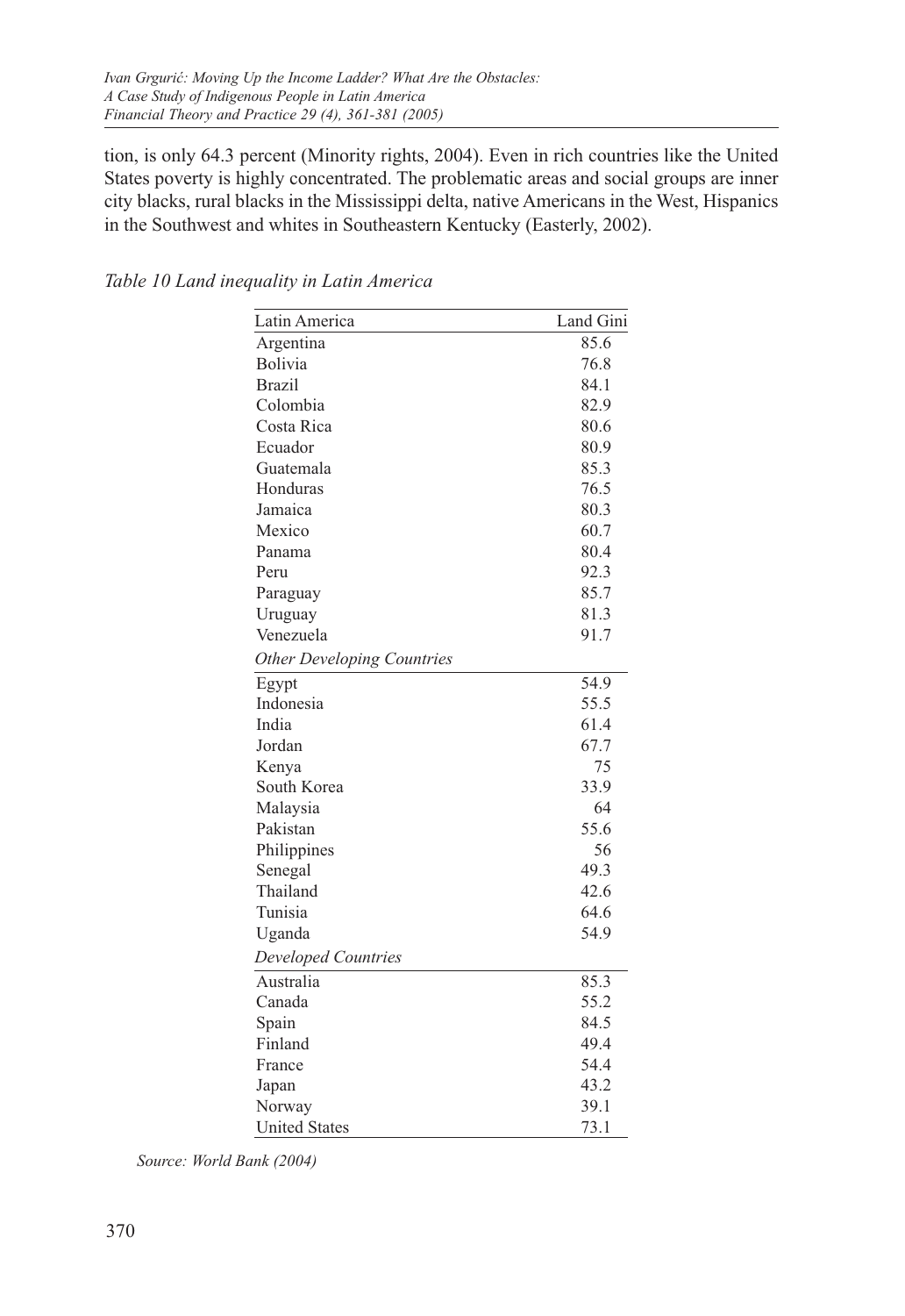tion, is only 64.3 percent (Minority rights, 2004). Even in rich countries like the United States poverty is highly concentrated. The problematic areas and social groups are inner city blacks, rural blacks in the Mississippi delta, native Americans in the West, Hispanics in the Southwest and whites in Southeastern Kentucky (Easterly, 2002).

| Latin America                     | Land Gini |
|-----------------------------------|-----------|
| Argentina                         | 85.6      |
| Bolivia                           | 76.8      |
| <b>Brazil</b>                     | 84.1      |
| Colombia                          | 82.9      |
| Costa Rica                        | 80.6      |
| Ecuador                           | 80.9      |
| Guatemala                         | 85.3      |
| Honduras                          | 76.5      |
| Jamaica                           | 80.3      |
| Mexico                            | 60.7      |
| Panama                            | 80.4      |
| Peru                              | 92.3      |
| Paraguay                          | 85.7      |
| Uruguay                           | 81.3      |
| Venezuela                         | 91.7      |
| <b>Other Developing Countries</b> |           |
| Egypt                             | 54.9      |
| Indonesia                         | 55.5      |
| India                             | 61.4      |
| Jordan                            | 67.7      |
| Kenya                             | 75        |
| South Korea                       | 33.9      |
| Malaysia                          | 64        |
| Pakistan                          | 55.6      |
| Philippines                       | 56        |
| Senegal                           | 49.3      |
| Thailand                          | 42.6      |
| Tunisia                           | 64.6      |
| Uganda                            | 54.9      |
| Developed Countries               |           |
| Australia                         | 85.3      |
| Canada                            | 55.2      |
| Spain                             | 84.5      |
| Finland                           | 49.4      |
| France                            | 54.4      |
| Japan                             | 43.2      |
| Norway                            | 39.1      |
| <b>United States</b>              | 73.1      |

*Table 10 Land inequality in Latin America*

*Source: World Bank (2004)*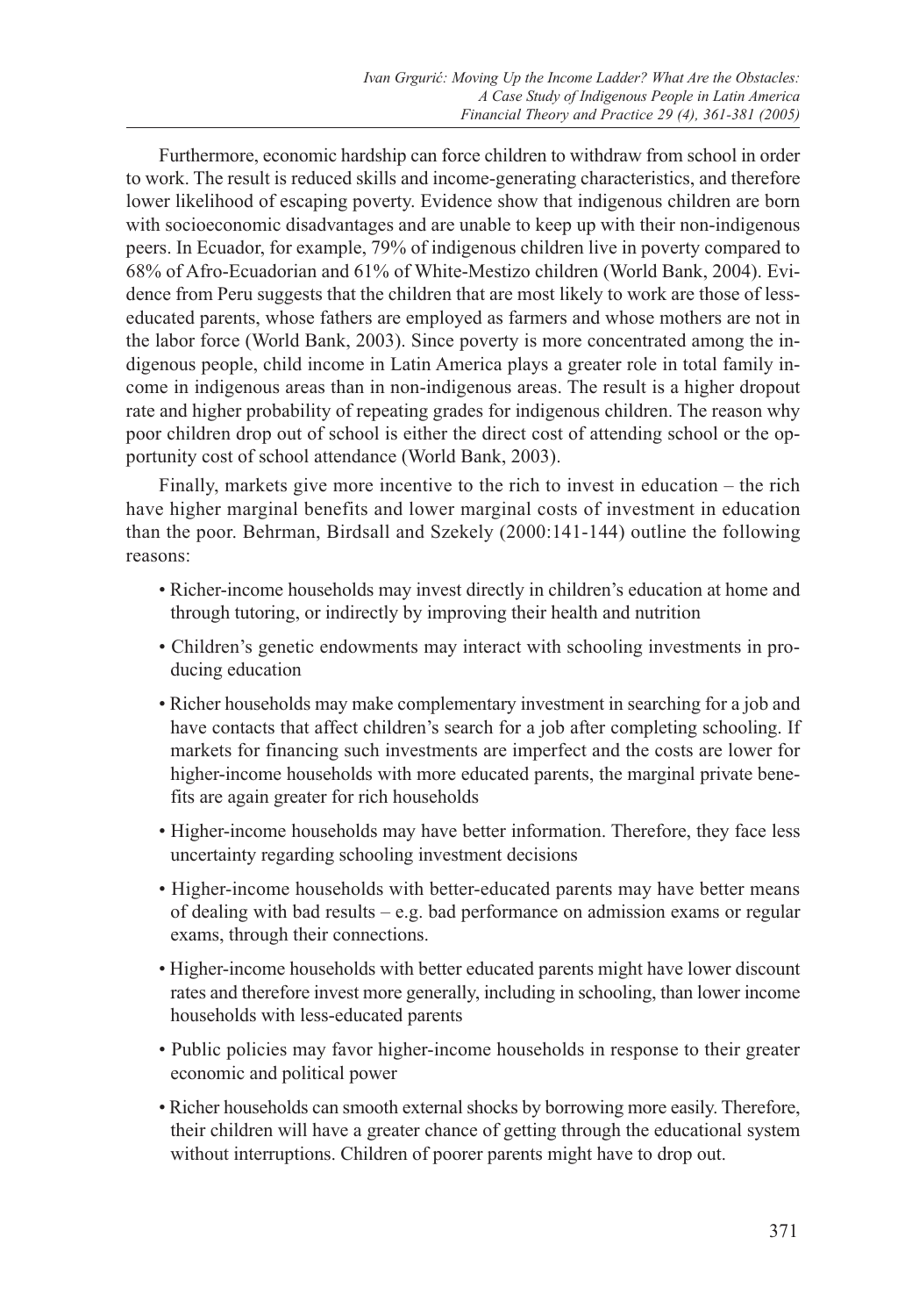Furthermore, economic hardship can force children to withdraw from school in order to work. The result is reduced skills and income-generating characteristics, and therefore lower likelihood of escaping poverty. Evidence show that indigenous children are born with socioeconomic disadvantages and are unable to keep up with their non-indigenous peers. In Ecuador, for example, 79% of indigenous children live in poverty compared to 68% of Afro-Ecuadorian and 61% of White-Mestizo children (World Bank, 2004). Evidence from Peru suggests that the children that are most likely to work are those of lesseducated parents, whose fathers are employed as farmers and whose mothers are not in the labor force (World Bank, 2003). Since poverty is more concentrated among the indigenous people, child income in Latin America plays a greater role in total family income in indigenous areas than in non-indigenous areas. The result is a higher dropout rate and higher probability of repeating grades for indigenous children. The reason why poor children drop out of school is either the direct cost of attending school or the opportunity cost of school attendance (World Bank, 2003).

Finally, markets give more incentive to the rich to invest in education – the rich have higher marginal benefits and lower marginal costs of investment in education than the poor. Behrman, Birdsall and Szekely (2000:141-144) outline the following reasons:

- Richer-income households may invest directly in children's education at home and through tutoring, or indirectly by improving their health and nutrition
- Children's genetic endowments may interact with schooling investments in producing education
- Richer households may make complementary investment in searching for a job and have contacts that affect children's search for a job after completing schooling. If markets for financing such investments are imperfect and the costs are lower for higher-income households with more educated parents, the marginal private benefits are again greater for rich households
- Higher-income households may have better information. Therefore, they face less uncertainty regarding schooling investment decisions
- Higher-income households with better-educated parents may have better means of dealing with bad results – e.g. bad performance on admission exams or regular exams, through their connections.
- Higher-income households with better educated parents might have lower discount rates and therefore invest more generally, including in schooling, than lower income households with less-educated parents
- Public policies may favor higher-income households in response to their greater economic and political power
- Richer households can smooth external shocks by borrowing more easily. Therefore, their children will have a greater chance of getting through the educational system without interruptions. Children of poorer parents might have to drop out.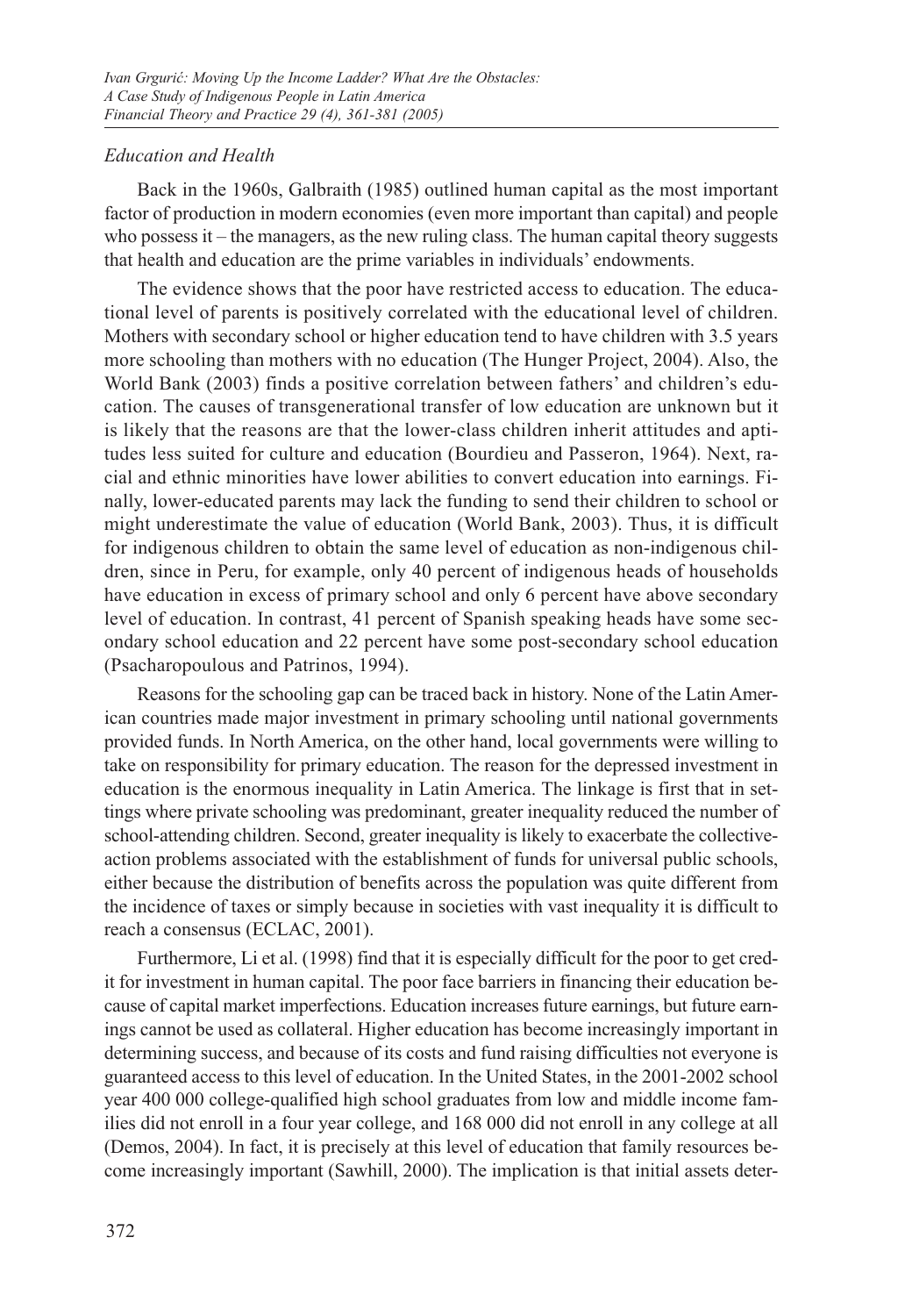## *Education and Health*

Back in the 1960s, Galbraith (1985) outlined human capital as the most important factor of production in modern economies (even more important than capital) and people who possess it – the managers, as the new ruling class. The human capital theory suggests that health and education are the prime variables in individuals' endowments.

The evidence shows that the poor have restricted access to education. The educational level of parents is positively correlated with the educational level of children. Mothers with secondary school or higher education tend to have children with 3.5 years more schooling than mothers with no education (The Hunger Project, 2004). Also, the World Bank (2003) finds a positive correlation between fathers' and children's education. The causes of transgenerational transfer of low education are unknown but it is likely that the reasons are that the lower-class children inherit attitudes and aptitudes less suited for culture and education (Bourdieu and Passeron, 1964). Next, racial and ethnic minorities have lower abilities to convert education into earnings. Finally, lower-educated parents may lack the funding to send their children to school or might underestimate the value of education (World Bank, 2003). Thus, it is difficult for indigenous children to obtain the same level of education as non-indigenous children, since in Peru, for example, only 40 percent of indigenous heads of households have education in excess of primary school and only 6 percent have above secondary level of education. In contrast, 41 percent of Spanish speaking heads have some secondary school education and 22 percent have some post-secondary school education (Psacharopoulous and Patrinos, 1994).

Reasons for the schooling gap can be traced back in history. None of the Latin American countries made major investment in primary schooling until national governments provided funds. In North America, on the other hand, local governments were willing to take on responsibility for primary education. The reason for the depressed investment in education is the enormous inequality in Latin America. The linkage is first that in settings where private schooling was predominant, greater inequality reduced the number of school-attending children. Second, greater inequality is likely to exacerbate the collectiveaction problems associated with the establishment of funds for universal public schools, either because the distribution of benefits across the population was quite different from the incidence of taxes or simply because in societies with vast inequality it is difficult to reach a consensus (ECLAC, 2001).

Furthermore, Li et al. (1998) find that it is especially difficult for the poor to get credit for investment in human capital. The poor face barriers in financing their education because of capital market imperfections. Education increases future earnings, but future earnings cannot be used as collateral. Higher education has become increasingly important in determining success, and because of its costs and fund raising difficulties not everyone is guaranteed access to this level of education. In the United States, in the 2001-2002 school year 400 000 college-qualified high school graduates from low and middle income families did not enroll in a four year college, and 168 000 did not enroll in any college at all (Demos, 2004). In fact, it is precisely at this level of education that family resources become increasingly important (Sawhill, 2000). The implication is that initial assets deter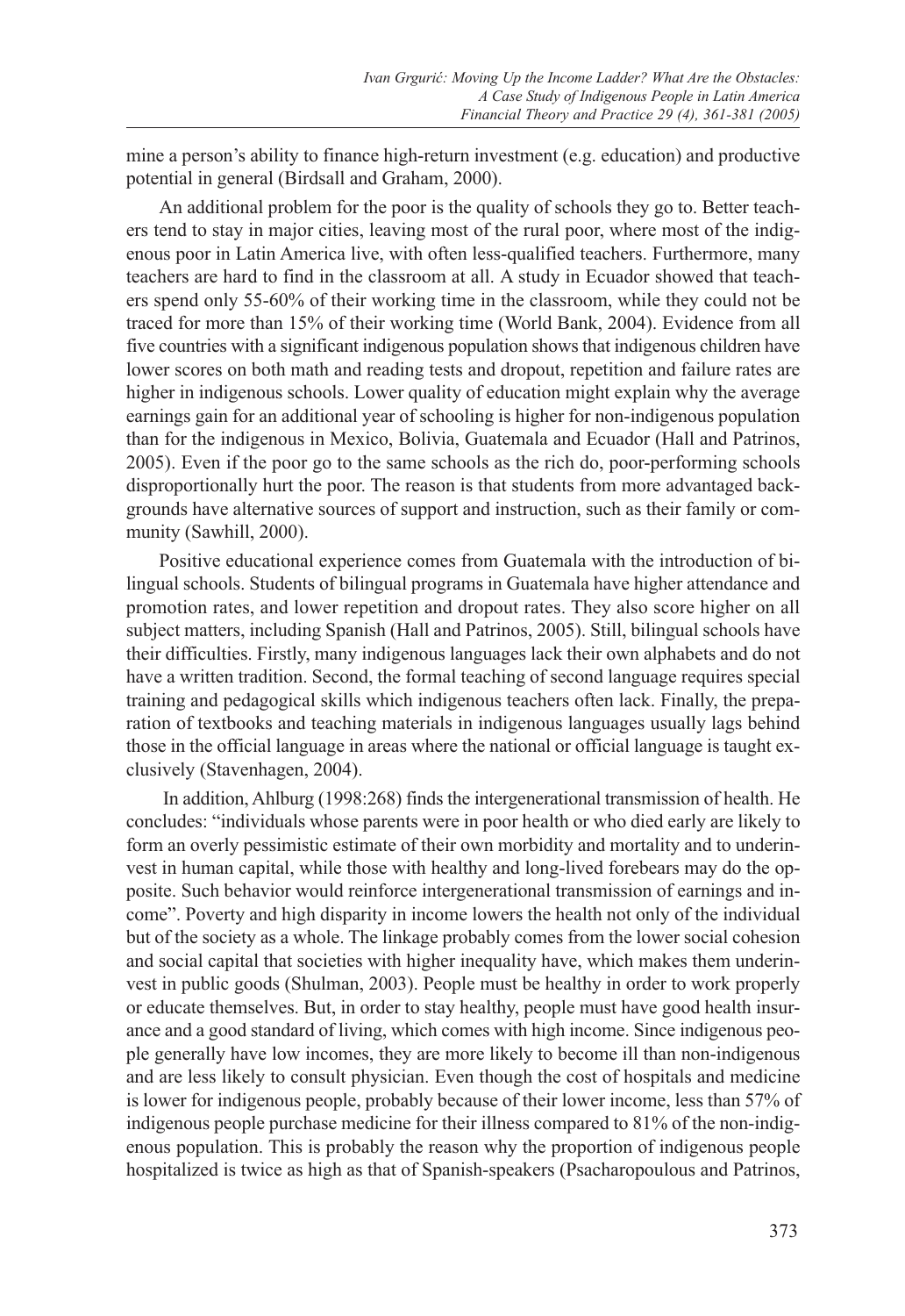mine a person's ability to finance high-return investment (e.g. education) and productive potential in general (Birdsall and Graham, 2000).

An additional problem for the poor is the quality of schools they go to. Better teachers tend to stay in major cities, leaving most of the rural poor, where most of the indigenous poor in Latin America live, with often less-qualified teachers. Furthermore, many teachers are hard to find in the classroom at all. A study in Ecuador showed that teachers spend only 55-60% of their working time in the classroom, while they could not be traced for more than 15% of their working time (World Bank, 2004). Evidence from all five countries with a significant indigenous population shows that indigenous children have lower scores on both math and reading tests and dropout, repetition and failure rates are higher in indigenous schools. Lower quality of education might explain why the average earnings gain for an additional year of schooling is higher for non-indigenous population than for the indigenous in Mexico, Bolivia, Guatemala and Ecuador (Hall and Patrinos, 2005). Even if the poor go to the same schools as the rich do, poor-performing schools disproportionally hurt the poor. The reason is that students from more advantaged backgrounds have alternative sources of support and instruction, such as their family or community (Sawhill, 2000).

Positive educational experience comes from Guatemala with the introduction of bilingual schools. Students of bilingual programs in Guatemala have higher attendance and promotion rates, and lower repetition and dropout rates. They also score higher on all subject matters, including Spanish (Hall and Patrinos, 2005). Still, bilingual schools have their difficulties. Firstly, many indigenous languages lack their own alphabets and do not have a written tradition. Second, the formal teaching of second language requires special training and pedagogical skills which indigenous teachers often lack. Finally, the preparation of textbooks and teaching materials in indigenous languages usually lags behind those in the official language in areas where the national or official language is taught exclusively (Stavenhagen, 2004).

 In addition, Ahlburg (1998:268) finds the intergenerational transmission of health. He concludes: "individuals whose parents were in poor health or who died early are likely to form an overly pessimistic estimate of their own morbidity and mortality and to underinvest in human capital, while those with healthy and long-lived forebears may do the opposite. Such behavior would reinforce intergenerational transmission of earnings and income". Poverty and high disparity in income lowers the health not only of the individual but of the society as a whole. The linkage probably comes from the lower social cohesion and social capital that societies with higher inequality have, which makes them underinvest in public goods (Shulman, 2003). People must be healthy in order to work properly or educate themselves. But, in order to stay healthy, people must have good health insurance and a good standard of living, which comes with high income. Since indigenous people generally have low incomes, they are more likely to become ill than non-indigenous and are less likely to consult physician. Even though the cost of hospitals and medicine is lower for indigenous people, probably because of their lower income, less than 57% of indigenous people purchase medicine for their illness compared to 81% of the non-indigenous population. This is probably the reason why the proportion of indigenous people hospitalized is twice as high as that of Spanish-speakers (Psacharopoulous and Patrinos,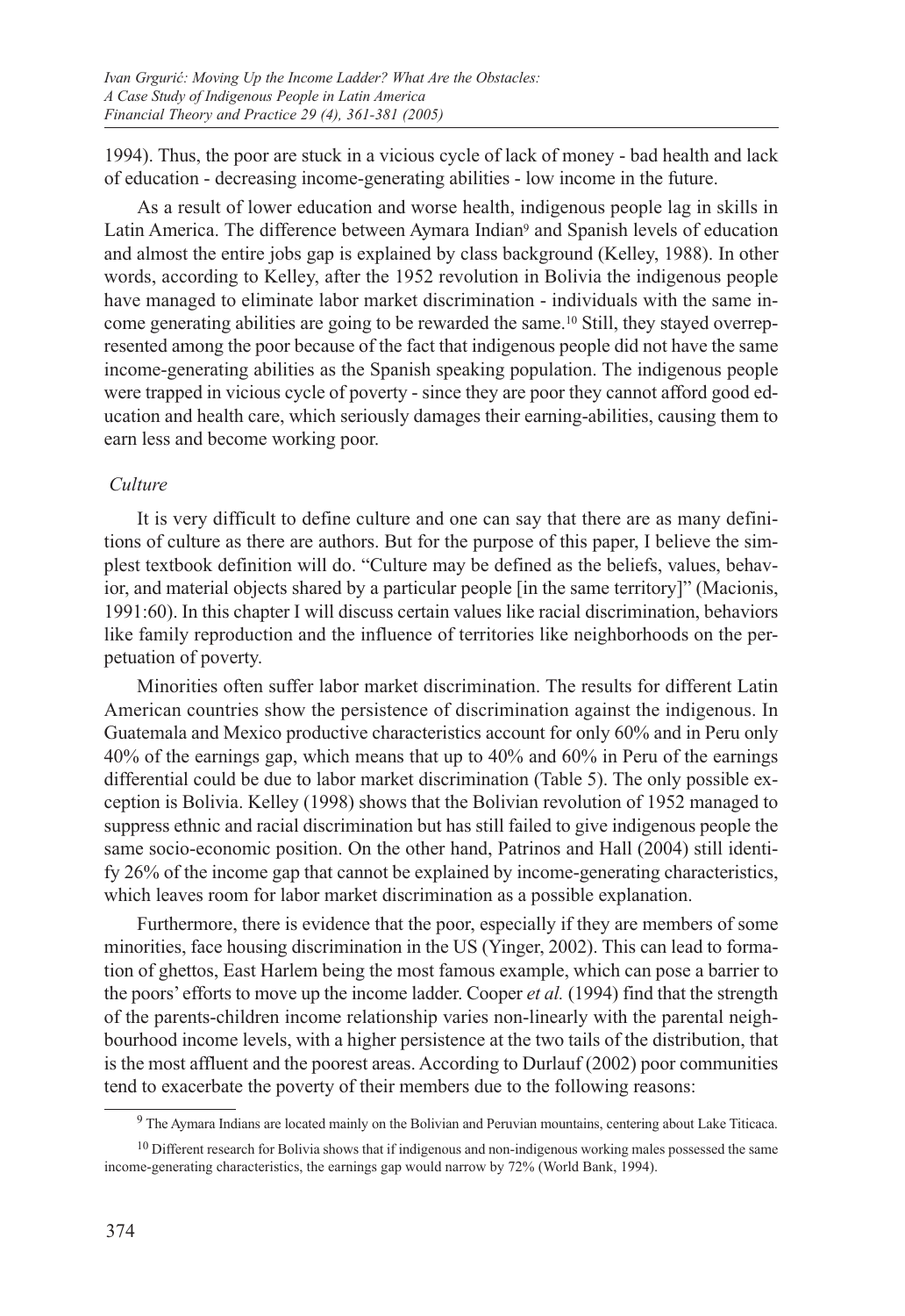1994). Thus, the poor are stuck in a vicious cycle of lack of money - bad health and lack of education - decreasing income-generating abilities - low income in the future.

As a result of lower education and worse health, indigenous people lag in skills in Latin America. The difference between Aymara Indian9 and Spanish levels of education and almost the entire jobs gap is explained by class background (Kelley, 1988). In other words, according to Kelley, after the 1952 revolution in Bolivia the indigenous people have managed to eliminate labor market discrimination - individuals with the same income generating abilities are going to be rewarded the same.10 Still, they stayed overrepresented among the poor because of the fact that indigenous people did not have the same income-generating abilities as the Spanish speaking population. The indigenous people were trapped in vicious cycle of poverty - since they are poor they cannot afford good education and health care, which seriously damages their earning-abilities, causing them to earn less and become working poor.

### *Culture*

It is very difficult to define culture and one can say that there are as many definitions of culture as there are authors. But for the purpose of this paper, I believe the simplest textbook definition will do. "Culture may be defined as the beliefs, values, behavior, and material objects shared by a particular people [in the same territory]" (Macionis, 1991:60). In this chapter I will discuss certain values like racial discrimination, behaviors like family reproduction and the influence of territories like neighborhoods on the perpetuation of poverty.

Minorities often suffer labor market discrimination. The results for different Latin American countries show the persistence of discrimination against the indigenous. In Guatemala and Mexico productive characteristics account for only 60% and in Peru only 40% of the earnings gap, which means that up to 40% and 60% in Peru of the earnings differential could be due to labor market discrimination (Table 5). The only possible exception is Bolivia. Kelley (1998) shows that the Bolivian revolution of 1952 managed to suppress ethnic and racial discrimination but has still failed to give indigenous people the same socio-economic position. On the other hand, Patrinos and Hall (2004) still identify 26% of the income gap that cannot be explained by income-generating characteristics, which leaves room for labor market discrimination as a possible explanation.

Furthermore, there is evidence that the poor, especially if they are members of some minorities, face housing discrimination in the US (Yinger, 2002). This can lead to formation of ghettos, East Harlem being the most famous example, which can pose a barrier to the poors' efforts to move up the income ladder. Cooper *et al.* (1994) find that the strength of the parents-children income relationship varies non-linearly with the parental neighbourhood income levels, with a higher persistence at the two tails of the distribution, that is the most affluent and the poorest areas. According to Durlauf (2002) poor communities tend to exacerbate the poverty of their members due to the following reasons:

<sup>&</sup>lt;sup>9</sup> The Aymara Indians are located mainly on the Bolivian and Peruvian mountains, centering about Lake Titicaca.

 $10$  Different research for Bolivia shows that if indigenous and non-indigenous working males possessed the same income-generating characteristics, the earnings gap would narrow by 72% (World Bank, 1994).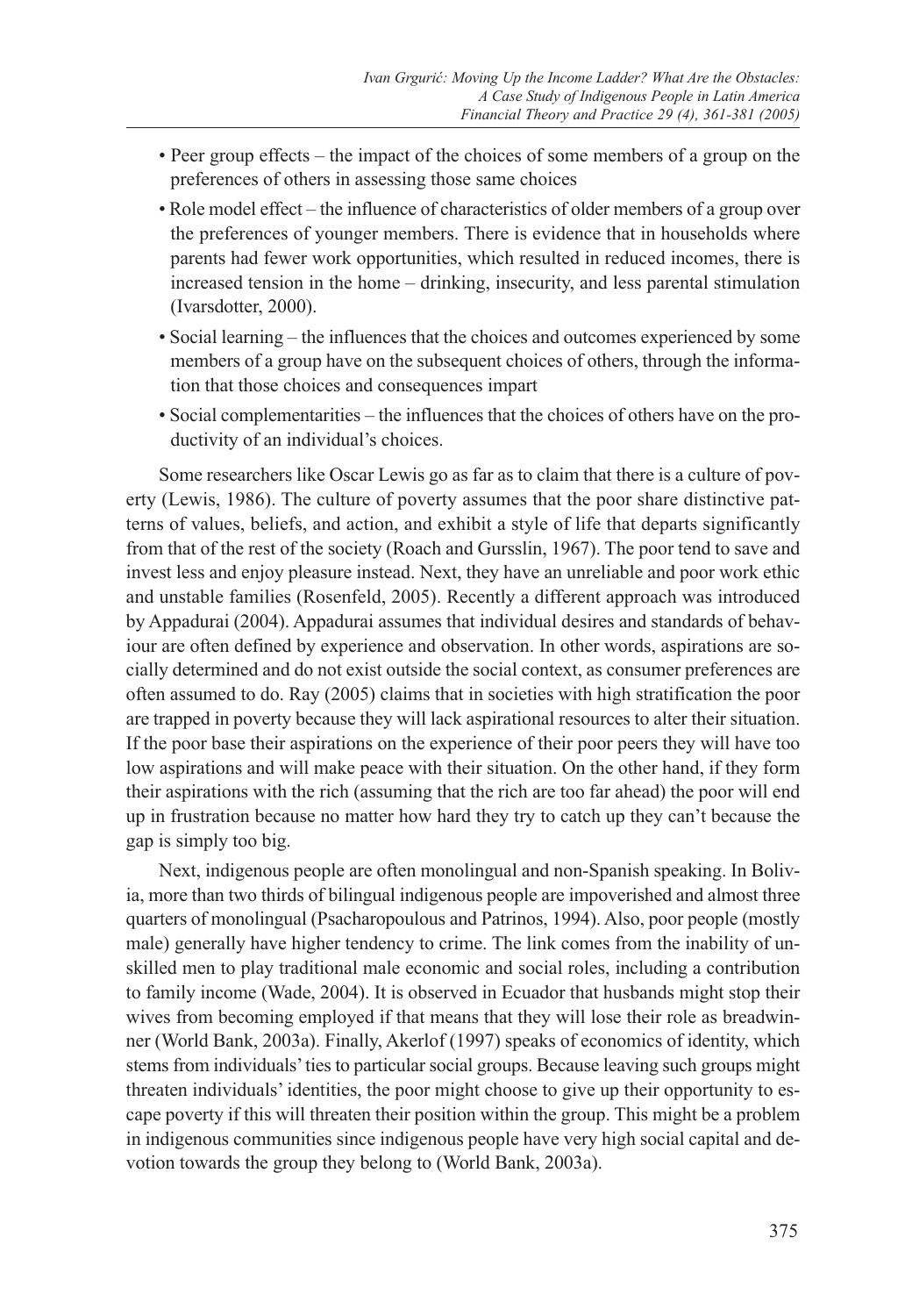- Peer group effects the impact of the choices of some members of a group on the preferences of others in assessing those same choices
- Role model effect the influence of characteristics of older members of a group over the preferences of younger members. There is evidence that in households where parents had fewer work opportunities, which resulted in reduced incomes, there is increased tension in the home – drinking, insecurity, and less parental stimulation (Ivarsdotter, 2000).
- Social learning the influences that the choices and outcomes experienced by some members of a group have on the subsequent choices of others, through the information that those choices and consequences impart
- Social complementarities the influences that the choices of others have on the productivity of an individual's choices.

Some researchers like Oscar Lewis go as far as to claim that there is a culture of poverty (Lewis, 1986). The culture of poverty assumes that the poor share distinctive patterns of values, beliefs, and action, and exhibit a style of life that departs significantly from that of the rest of the society (Roach and Gursslin, 1967). The poor tend to save and invest less and enjoy pleasure instead. Next, they have an unreliable and poor work ethic and unstable families (Rosenfeld, 2005). Recently a different approach was introduced by Appadurai (2004). Appadurai assumes that individual desires and standards of behaviour are often defined by experience and observation. In other words, aspirations are socially determined and do not exist outside the social context, as consumer preferences are often assumed to do. Ray (2005) claims that in societies with high stratification the poor are trapped in poverty because they will lack aspirational resources to alter their situation. If the poor base their aspirations on the experience of their poor peers they will have too low aspirations and will make peace with their situation. On the other hand, if they form their aspirations with the rich (assuming that the rich are too far ahead) the poor will end up in frustration because no matter how hard they try to catch up they can't because the gap is simply too big.

Next, indigenous people are often monolingual and non-Spanish speaking. In Bolivia, more than two thirds of bilingual indigenous people are impoverished and almost three quarters of monolingual (Psacharopoulous and Patrinos, 1994). Also, poor people (mostly male) generally have higher tendency to crime. The link comes from the inability of unskilled men to play traditional male economic and social roles, including a contribution to family income (Wade, 2004). It is observed in Ecuador that husbands might stop their wives from becoming employed if that means that they will lose their role as breadwinner (World Bank, 2003a). Finally, Akerlof (1997) speaks of economics of identity, which stems from individuals' ties to particular social groups. Because leaving such groups might threaten individuals' identities, the poor might choose to give up their opportunity to escape poverty if this will threaten their position within the group. This might be a problem in indigenous communities since indigenous people have very high social capital and devotion towards the group they belong to (World Bank, 2003a).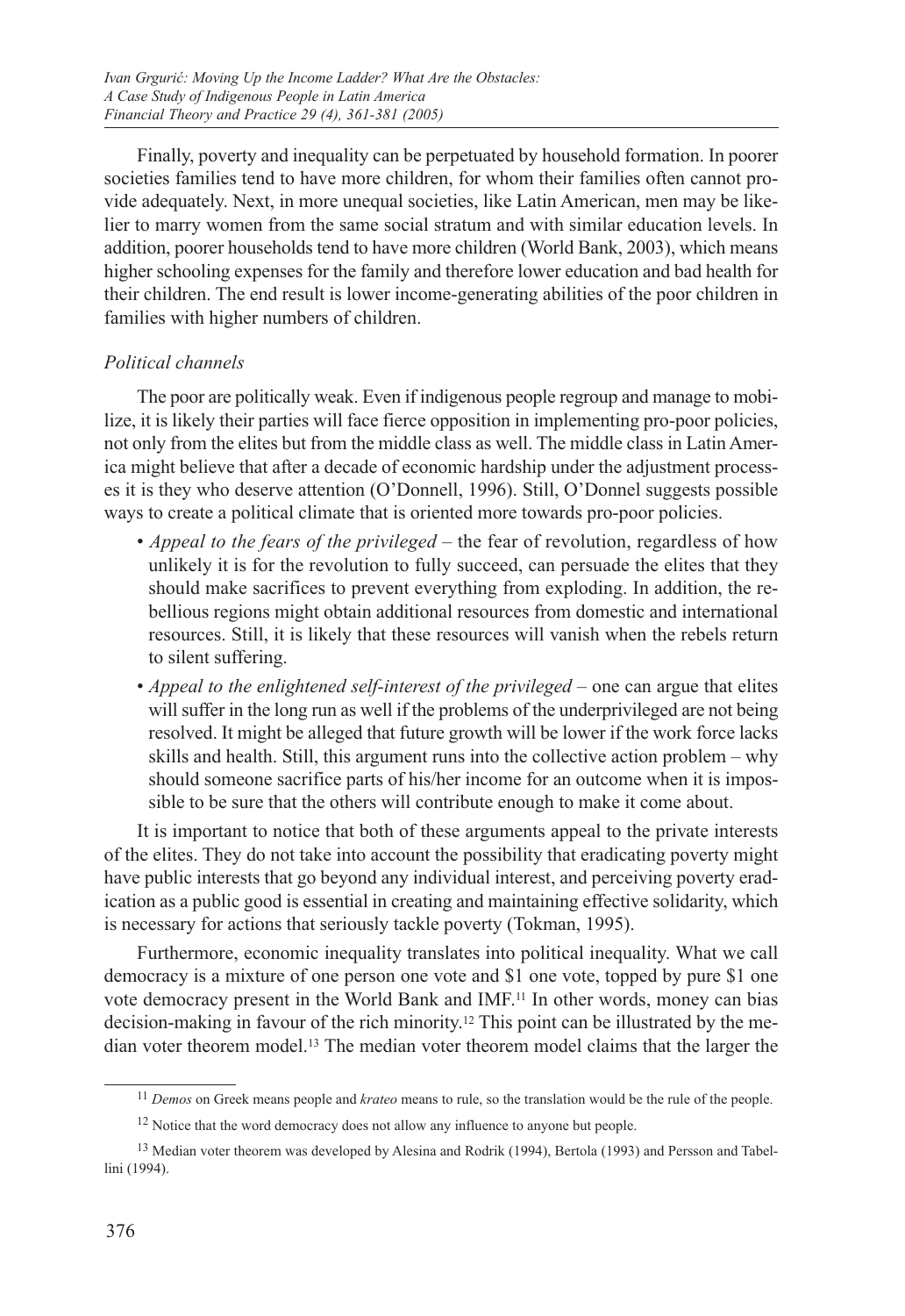Finally, poverty and inequality can be perpetuated by household formation. In poorer societies families tend to have more children, for whom their families often cannot provide adequately. Next, in more unequal societies, like Latin American, men may be likelier to marry women from the same social stratum and with similar education levels. In addition, poorer households tend to have more children (World Bank, 2003), which means higher schooling expenses for the family and therefore lower education and bad health for their children. The end result is lower income-generating abilities of the poor children in families with higher numbers of children.

## *Political channels*

The poor are politically weak. Even if indigenous people regroup and manage to mobilize, it is likely their parties will face fierce opposition in implementing pro-poor policies, not only from the elites but from the middle class as well. The middle class in Latin America might believe that after a decade of economic hardship under the adjustment processes it is they who deserve attention (O'Donnell, 1996). Still, O'Donnel suggests possible ways to create a political climate that is oriented more towards pro-poor policies.

- *Appeal to the fears of the privileged* the fear of revolution, regardless of how unlikely it is for the revolution to fully succeed, can persuade the elites that they should make sacrifices to prevent everything from exploding. In addition, the rebellious regions might obtain additional resources from domestic and international resources. Still, it is likely that these resources will vanish when the rebels return to silent suffering.
- *Appeal to the enlightened self-interest of the privileged* one can argue that elites will suffer in the long run as well if the problems of the underprivileged are not being resolved. It might be alleged that future growth will be lower if the work force lacks skills and health. Still, this argument runs into the collective action problem – why should someone sacrifice parts of his/her income for an outcome when it is impossible to be sure that the others will contribute enough to make it come about.

It is important to notice that both of these arguments appeal to the private interests of the elites. They do not take into account the possibility that eradicating poverty might have public interests that go beyond any individual interest, and perceiving poverty eradication as a public good is essential in creating and maintaining effective solidarity, which is necessary for actions that seriously tackle poverty (Tokman, 1995).

Furthermore, economic inequality translates into political inequality. What we call democracy is a mixture of one person one vote and \$1 one vote, topped by pure \$1 one vote democracy present in the World Bank and IMF.11 In other words, money can bias decision-making in favour of the rich minority.12 This point can be illustrated by the median voter theorem model.13 The median voter theorem model claims that the larger the

<sup>11</sup> *Demos* on Greek means people and *krateo* means to rule, so the translation would be the rule of the people.

<sup>&</sup>lt;sup>12</sup> Notice that the word democracy does not allow any influence to anyone but people.

<sup>&</sup>lt;sup>13</sup> Median voter theorem was developed by Alesina and Rodrik (1994), Bertola (1993) and Persson and Tabellini (1994).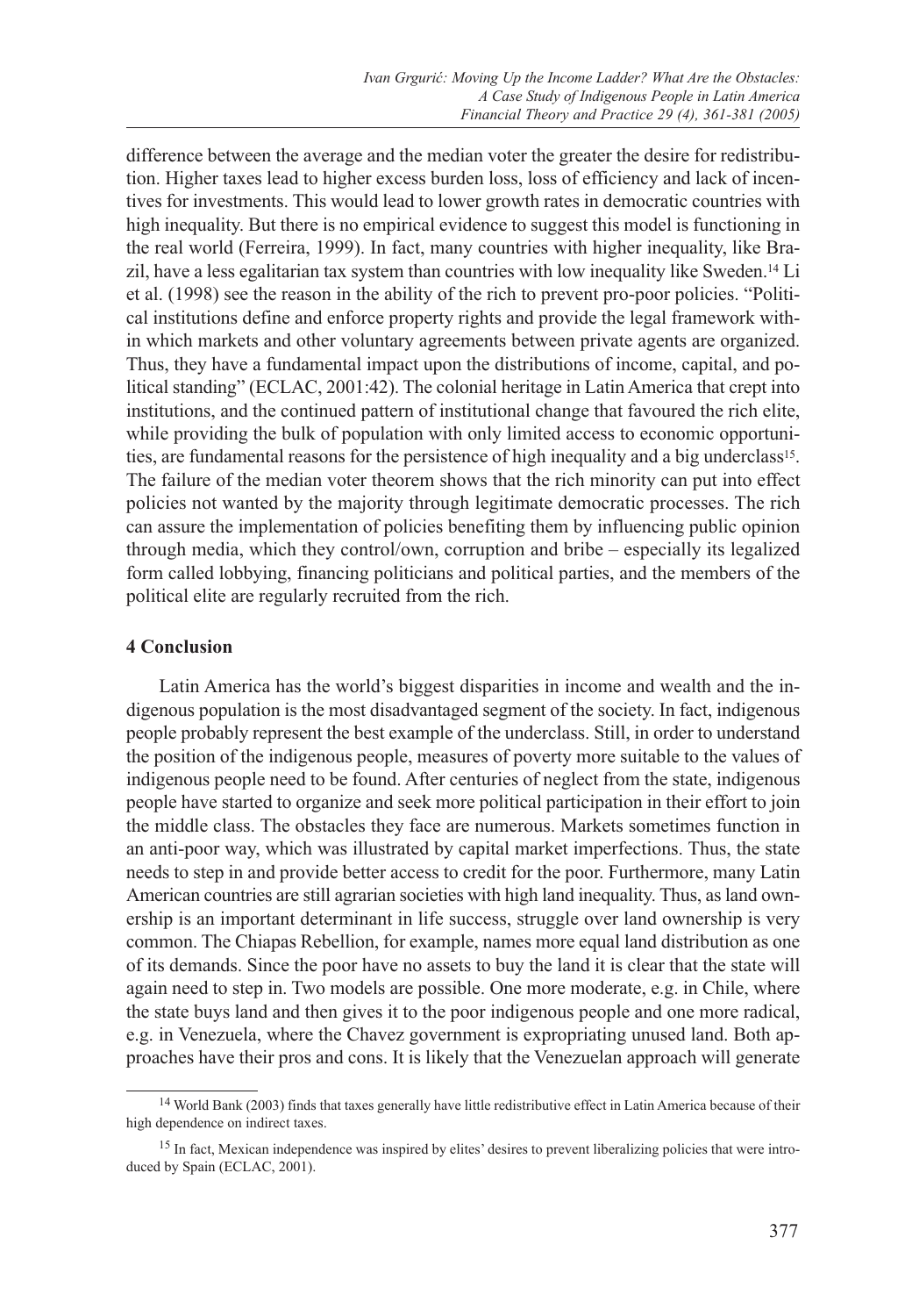difference between the average and the median voter the greater the desire for redistribution. Higher taxes lead to higher excess burden loss, loss of efficiency and lack of incentives for investments. This would lead to lower growth rates in democratic countries with high inequality. But there is no empirical evidence to suggest this model is functioning in the real world (Ferreira, 1999). In fact, many countries with higher inequality, like Brazil, have a less egalitarian tax system than countries with low inequality like Sweden.14 Li et al. (1998) see the reason in the ability of the rich to prevent pro-poor policies. "Political institutions define and enforce property rights and provide the legal framework within which markets and other voluntary agreements between private agents are organized. Thus, they have a fundamental impact upon the distributions of income, capital, and political standing" (ECLAC, 2001:42). The colonial heritage in Latin America that crept into institutions, and the continued pattern of institutional change that favoured the rich elite, while providing the bulk of population with only limited access to economic opportunities, are fundamental reasons for the persistence of high inequality and a big underclass15. The failure of the median voter theorem shows that the rich minority can put into effect policies not wanted by the majority through legitimate democratic processes. The rich can assure the implementation of policies benefiting them by influencing public opinion through media, which they control/own, corruption and bribe – especially its legalized form called lobbying, financing politicians and political parties, and the members of the political elite are regularly recruited from the rich.

### **4 Conclusion**

Latin America has the world's biggest disparities in income and wealth and the indigenous population is the most disadvantaged segment of the society. In fact, indigenous people probably represent the best example of the underclass. Still, in order to understand the position of the indigenous people, measures of poverty more suitable to the values of indigenous people need to be found. After centuries of neglect from the state, indigenous people have started to organize and seek more political participation in their effort to join the middle class. The obstacles they face are numerous. Markets sometimes function in an anti-poor way, which was illustrated by capital market imperfections. Thus, the state needs to step in and provide better access to credit for the poor. Furthermore, many Latin American countries are still agrarian societies with high land inequality. Thus, as land ownership is an important determinant in life success, struggle over land ownership is very common. The Chiapas Rebellion, for example, names more equal land distribution as one of its demands. Since the poor have no assets to buy the land it is clear that the state will again need to step in. Two models are possible. One more moderate, e.g. in Chile, where the state buys land and then gives it to the poor indigenous people and one more radical, e.g. in Venezuela, where the Chavez government is expropriating unused land. Both approaches have their pros and cons. It is likely that the Venezuelan approach will generate

<sup>&</sup>lt;sup>14</sup> World Bank (2003) finds that taxes generally have little redistributive effect in Latin America because of their high dependence on indirect taxes.

<sup>&</sup>lt;sup>15</sup> In fact, Mexican independence was inspired by elites' desires to prevent liberalizing policies that were introduced by Spain (ECLAC, 2001).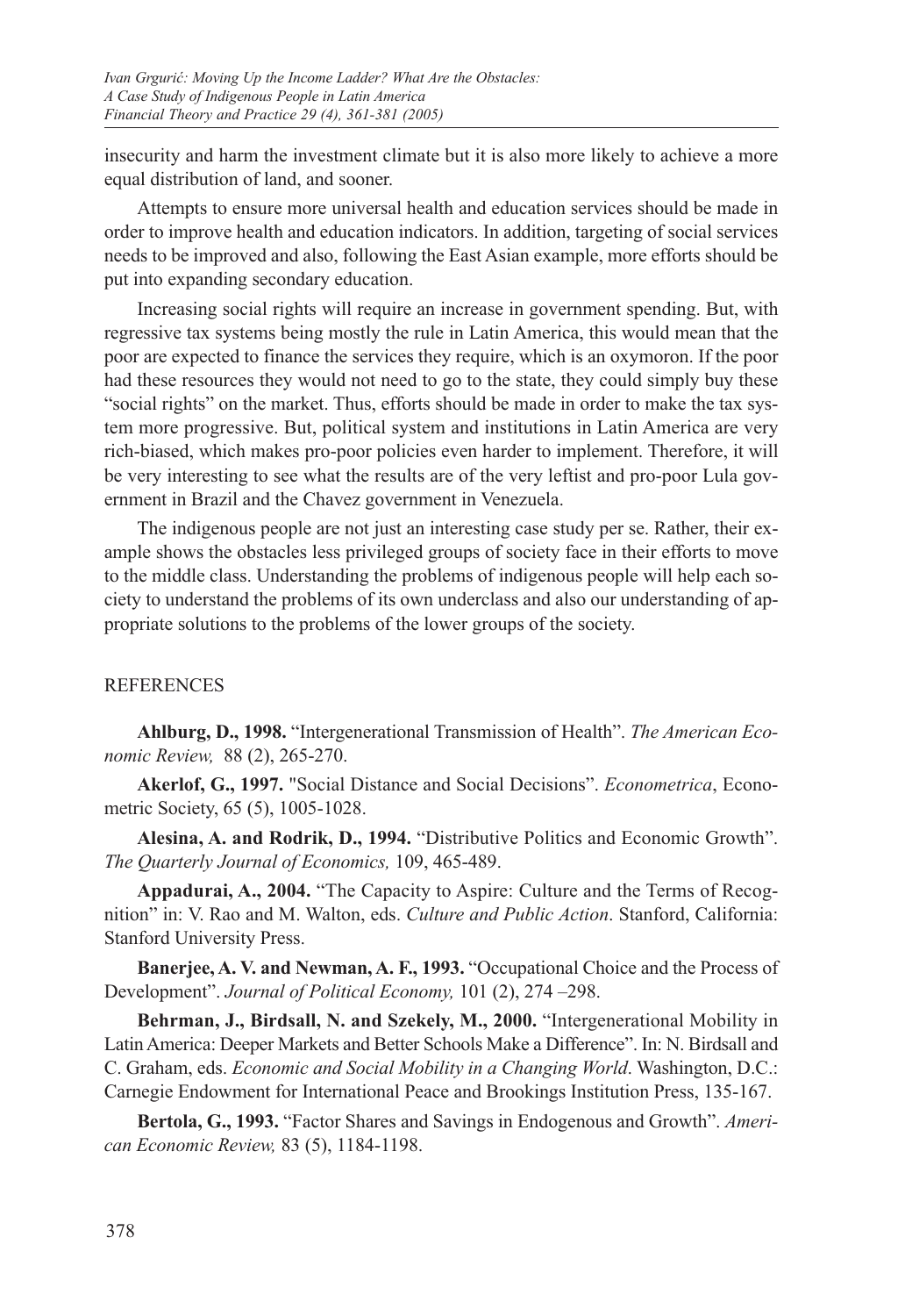insecurity and harm the investment climate but it is also more likely to achieve a more equal distribution of land, and sooner.

Attempts to ensure more universal health and education services should be made in order to improve health and education indicators. In addition, targeting of social services needs to be improved and also, following the East Asian example, more efforts should be put into expanding secondary education.

Increasing social rights will require an increase in government spending. But, with regressive tax systems being mostly the rule in Latin America, this would mean that the poor are expected to finance the services they require, which is an oxymoron. If the poor had these resources they would not need to go to the state, they could simply buy these "social rights" on the market. Thus, efforts should be made in order to make the tax system more progressive. But, political system and institutions in Latin America are very rich-biased, which makes pro-poor policies even harder to implement. Therefore, it will be very interesting to see what the results are of the very leftist and pro-poor Lula government in Brazil and the Chavez government in Venezuela.

The indigenous people are not just an interesting case study per se. Rather, their example shows the obstacles less privileged groups of society face in their efforts to move to the middle class. Understanding the problems of indigenous people will help each society to understand the problems of its own underclass and also our understanding of appropriate solutions to the problems of the lower groups of the society.

## REFERENCES

**Ahlburg, D., 1998.** "Intergenerational Transmission of Health". *The American Economic Review,* 88 (2), 265-270.

**Akerlof, G., 1997.** "Social Distance and Social Decisions". *Econometrica*, Econometric Society, 65 (5), 1005-1028.

**Alesina, A. and Rodrik, D., 1994.** "Distributive Politics and Economic Growth". *The Quarterly Journal of Economics,* 109, 465-489.

**Appadurai, A., 2004.** "The Capacity to Aspire: Culture and the Terms of Recognition" in: V. Rao and M. Walton, eds. *Culture and Public Action*. Stanford, California: Stanford University Press.

**Banerjee, A. V. and Newman, A. F., 1993.** "Occupational Choice and the Process of Development". *Journal of Political Economy,* 101 (2), 274 –298.

**Behrman, J., Birdsall, N. and Szekely, M., 2000.** "Intergenerational Mobility in Latin America: Deeper Markets and Better Schools Make a Difference". In: N. Birdsall and C. Graham, eds. *Economic and Social Mobility in a Changing World*. Washington, D.C.: Carnegie Endowment for International Peace and Brookings Institution Press, 135-167.

**Bertola, G., 1993.** "Factor Shares and Savings in Endogenous and Growth". *American Economic Review,* 83 (5), 1184-1198.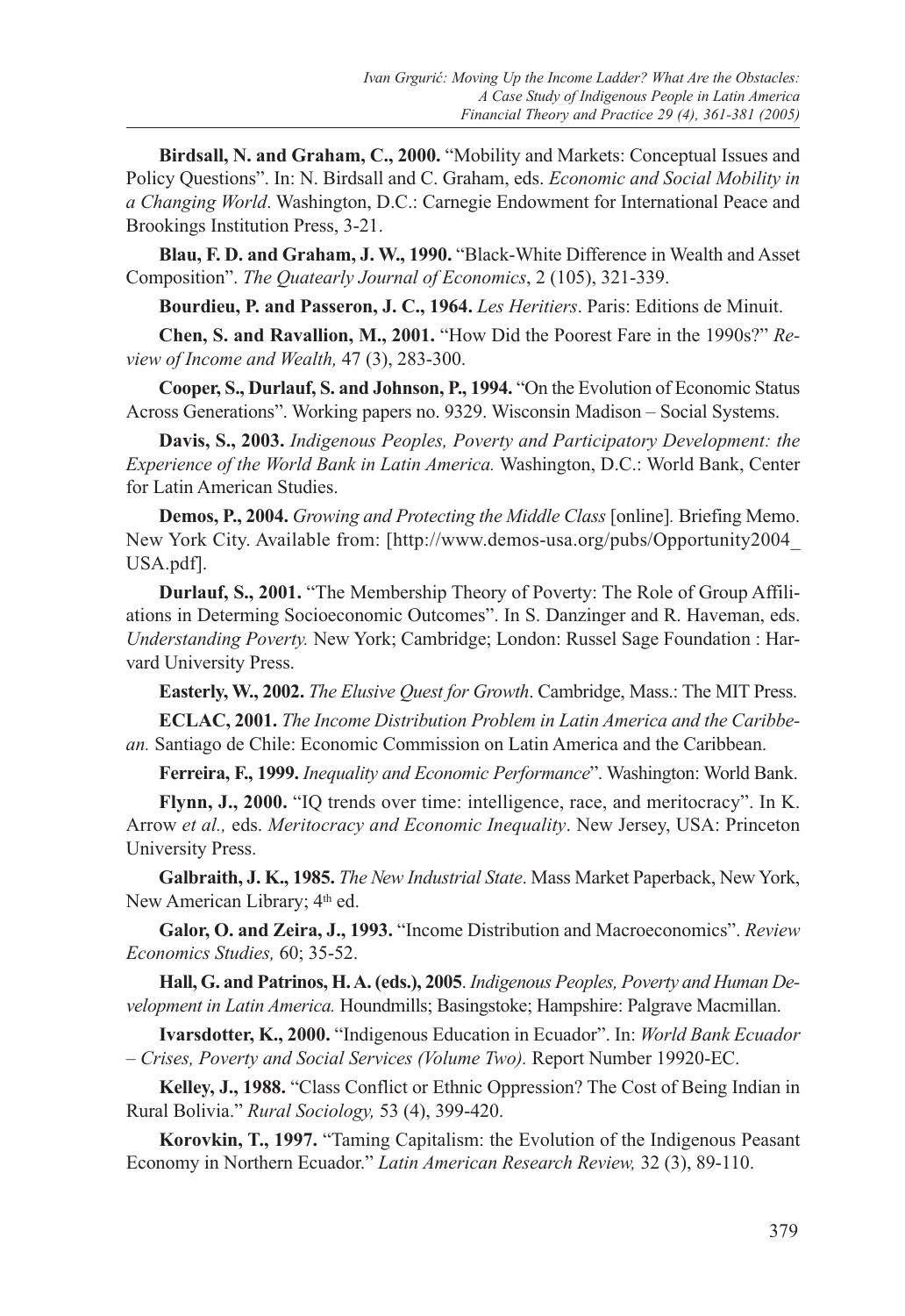**Birdsall, N. and Graham, C., 2000.** "Mobility and Markets: Conceptual Issues and Policy Questions". In: N. Birdsall and C. Graham, eds. *Economic and Social Mobility in a Changing World*. Washington, D.C.: Carnegie Endowment for International Peace and Brookings Institution Press, 3-21.

**Blau, F. D. and Graham, J. W., 1990.** "Black-White Difference in Wealth and Asset Composition". *The Quatearly Journal of Economics*, 2 (105), 321-339.

**Bourdieu, P. and Passeron, J. C., 1964.** *Les Heritiers*. Paris: Editions de Minuit.

**Chen, S. and Ravallion, M., 2001.** "How Did the Poorest Fare in the 1990s?" *Review of Income and Wealth,* 47 (3), 283-300.

**Cooper, S., Durlauf, S. and Johnson, P., 1994.** "On the Evolution of Economic Status Across Generations". Working papers no. 9329. Wisconsin Madison – Social Systems.

**Davis, S., 2003.** *Indigenous Peoples, Poverty and Participatory Development: the Experience of the World Bank in Latin America.* Washington, D.C.: World Bank, Center for Latin American Studies.

**Demos, P., 2004.** *Growing and Protecting the Middle Class* [online]*.* Briefing Memo. New York City. Available from: [http://www.demos-usa.org/pubs/Opportunity2004\_ USA.pdf].

**Durlauf, S., 2001.** "The Membership Theory of Poverty: The Role of Group Affiliations in Determing Socioeconomic Outcomes". In S. Danzinger and R. Haveman, eds. *Understanding Poverty.* New York; Cambridge; London: Russel Sage Foundation : Harvard University Press.

**Easterly, W., 2002.** *The Elusive Quest for Growth*. Cambridge, Mass.: The MIT Press.

**ECLAC, 2001.** *The Income Distribution Problem in Latin America and the Caribbean.* Santiago de Chile: Economic Commission on Latin America and the Caribbean.

**Ferreira, F., 1999.** *Inequality and Economic Performance*". Washington: World Bank.

**Flynn, J., 2000.** "IQ trends over time: intelligence, race, and meritocracy". In K. Arrow *et al.,* eds. *Meritocracy and Economic Inequality*. New Jersey, USA: Princeton University Press.

**Galbraith, J. K., 1985.** *The New Industrial State*. Mass Market Paperback, New York, New American Library; 4th ed.

**Galor, O. and Zeira, J., 1993.** "Income Distribution and Macroeconomics". *Review Economics Studies,* 60; 35-52.

**Hall, G. and Patrinos, H. A. (eds.), 2005**. *Indigenous Peoples, Poverty and Human Development in Latin America.* Houndmills; Basingstoke; Hampshire: Palgrave Macmillan.

**Ivarsdotter, K., 2000.** "Indigenous Education in Ecuador". In: *World Bank Ecuador – Crises, Poverty and Social Services (Volume Two).* Report Number 19920-EC.

**Kelley, J., 1988.** "Class Conflict or Ethnic Oppression? The Cost of Being Indian in Rural Bolivia." *Rural Sociology,* 53 (4), 399-420.

**Korovkin, T., 1997.** "Taming Capitalism: the Evolution of the Indigenous Peasant Economy in Northern Ecuador." *Latin American Research Review,* 32 (3), 89-110.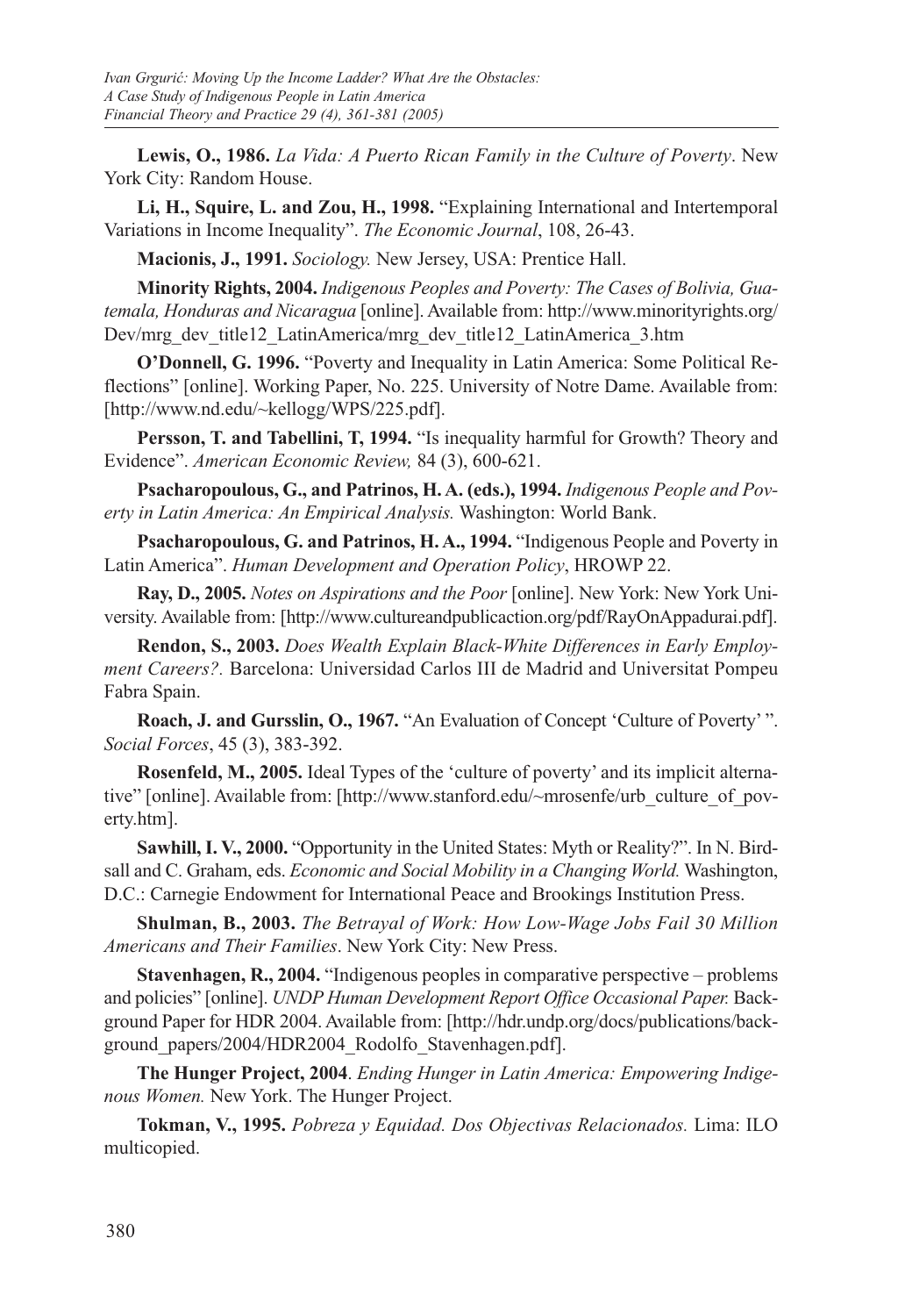**Lewis, O., 1986.** *La Vida: A Puerto Rican Family in the Culture of Poverty*. New York City: Random House.

**Li, H., Squire, L. and Zou, H., 1998.** "Explaining International and Intertemporal Variations in Income Inequality". *The Economic Journal*, 108, 26-43.

**Macionis, J., 1991.** *Sociology.* New Jersey, USA: Prentice Hall.

**Minority Rights, 2004.** *Indigenous Peoples and Poverty: The Cases of Bolivia, Guatemala, Honduras and Nicaragua* [online]. Available from: http://www.minorityrights.org/ Dev/mrg\_dev\_title12\_LatinAmerica/mrg\_dev\_title12\_LatinAmerica\_3.htm

**O'Donnell, G. 1996.** "Poverty and Inequality in Latin America: Some Political Reflections" [online]. Working Paper, No. 225. University of Notre Dame. Available from: [http://www.nd.edu/~kellogg/WPS/225.pdf].

**Persson, T. and Tabellini, T, 1994.** "Is inequality harmful for Growth? Theory and Evidence". *American Economic Review,* 84 (3), 600-621.

**Psacharopoulous, G., and Patrinos, H. A. (eds.), 1994.** *Indigenous People and Poverty in Latin America: An Empirical Analysis.* Washington: World Bank.

**Psacharopoulous, G. and Patrinos, H. A., 1994.** "Indigenous People and Poverty in Latin America". *Human Development and Operation Policy*, HROWP 22.

**Ray, D., 2005.** *Notes on Aspirations and the Poor* [online]. New York: New York University. Available from: [http://www.cultureandpublicaction.org/pdf/RayOnAppadurai.pdf].

**Rendon, S., 2003.** *Does Wealth Explain Black-White Differences in Early Employment Careers?.* Barcelona: Universidad Carlos III de Madrid and Universitat Pompeu Fabra Spain.

**Roach, J. and Gursslin, O., 1967.** "An Evaluation of Concept 'Culture of Poverty' ". *Social Forces*, 45 (3), 383-392.

**Rosenfeld, M., 2005.** Ideal Types of the 'culture of poverty' and its implicit alternative" [online]. Available from: [http://www.stanford.edu/~mrosenfe/urb\_culture\_of\_poverty.htm].

**Sawhill, I. V., 2000.** "Opportunity in the United States: Myth or Reality?". In N. Birdsall and C. Graham, eds. *Economic and Social Mobility in a Changing World.* Washington, D.C.: Carnegie Endowment for International Peace and Brookings Institution Press.

**Shulman, B., 2003.** *The Betrayal of Work: How Low-Wage Jobs Fail 30 Million Americans and Their Families*. New York City: New Press.

**Stavenhagen, R., 2004.** "Indigenous peoples in comparative perspective – problems and policies" [online]. *UNDP Human Development Report Office Occasional Paper.* Background Paper for HDR 2004. Available from: [http://hdr.undp.org/docs/publications/background\_papers/2004/HDR2004\_Rodolfo\_Stavenhagen.pdf].

**The Hunger Project, 2004**. *Ending Hunger in Latin America: Empowering Indigenous Women.* New York. The Hunger Project.

**Tokman, V., 1995.** *Pobreza y Equidad. Dos Objectivas Relacionados.* Lima: ILO multicopied.